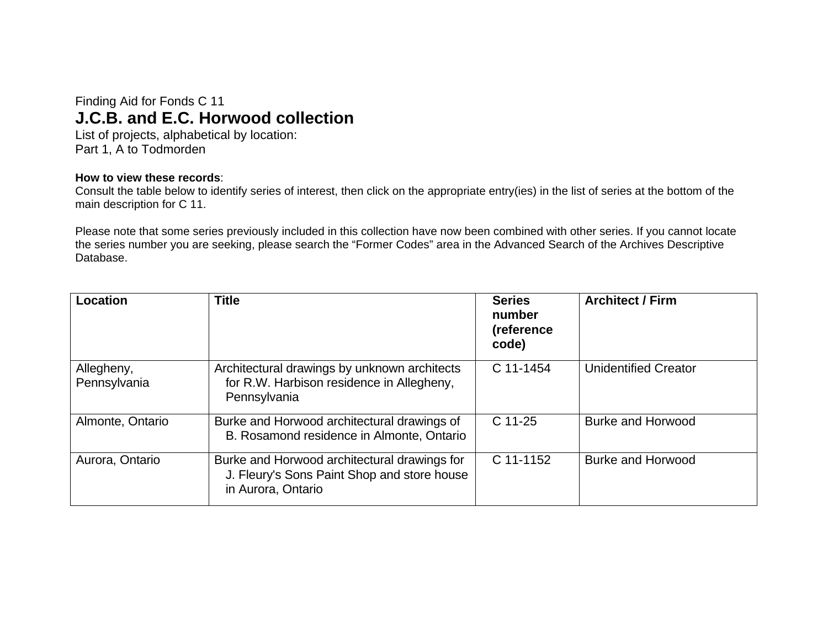## Finding Aid for Fonds C 11 **J.C.B. and E.C. Horwood collection**

List of projects, alphabetical by location: Part 1, A to Todmorden

## **How to view these records**:

Consult the table below to identify series of interest, then click on the appropriate entry(ies) in the list of series at the bottom of the main description for C 11.

Please note that some series previously included in this collection have now been combined with other series. If you cannot locate the series number you are seeking, please search the "Former Codes" area in the Advanced Search of the Archives Descriptive Database.

| Location                   | <b>Title</b>                                                                                                      | <b>Series</b><br>number<br>(reference<br>code) | <b>Architect / Firm</b>     |
|----------------------------|-------------------------------------------------------------------------------------------------------------------|------------------------------------------------|-----------------------------|
| Allegheny,<br>Pennsylvania | Architectural drawings by unknown architects<br>for R.W. Harbison residence in Allegheny,<br>Pennsylvania         | C 11-1454                                      | <b>Unidentified Creator</b> |
| Almonte, Ontario           | Burke and Horwood architectural drawings of<br>B. Rosamond residence in Almonte, Ontario                          | $C$ 11-25                                      | <b>Burke and Horwood</b>    |
| Aurora, Ontario            | Burke and Horwood architectural drawings for<br>J. Fleury's Sons Paint Shop and store house<br>in Aurora, Ontario | C 11-1152                                      | Burke and Horwood           |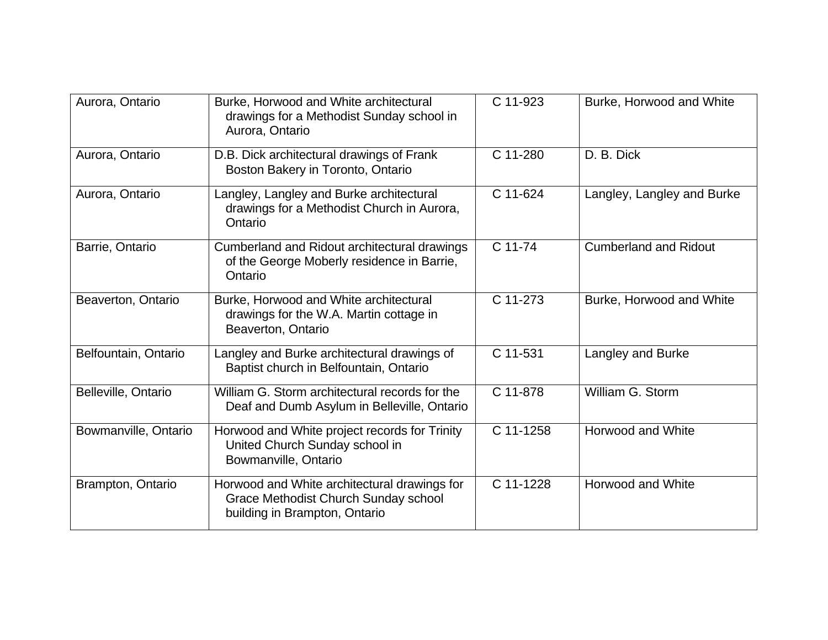| Aurora, Ontario      | Burke, Horwood and White architectural<br>drawings for a Methodist Sunday school in<br>Aurora, Ontario                | C 11-923  | Burke, Horwood and White     |
|----------------------|-----------------------------------------------------------------------------------------------------------------------|-----------|------------------------------|
| Aurora, Ontario      | D.B. Dick architectural drawings of Frank<br>Boston Bakery in Toronto, Ontario                                        | C 11-280  | D. B. Dick                   |
| Aurora, Ontario      | Langley, Langley and Burke architectural<br>drawings for a Methodist Church in Aurora,<br>Ontario                     | C 11-624  | Langley, Langley and Burke   |
| Barrie, Ontario      | Cumberland and Ridout architectural drawings<br>of the George Moberly residence in Barrie,<br>Ontario                 | C 11-74   | <b>Cumberland and Ridout</b> |
| Beaverton, Ontario   | Burke, Horwood and White architectural<br>drawings for the W.A. Martin cottage in<br>Beaverton, Ontario               | C 11-273  | Burke, Horwood and White     |
| Belfountain, Ontario | Langley and Burke architectural drawings of<br>Baptist church in Belfountain, Ontario                                 | C 11-531  | Langley and Burke            |
| Belleville, Ontario  | William G. Storm architectural records for the<br>Deaf and Dumb Asylum in Belleville, Ontario                         | C 11-878  | William G. Storm             |
| Bowmanville, Ontario | Horwood and White project records for Trinity<br>United Church Sunday school in<br>Bowmanville, Ontario               | C 11-1258 | Horwood and White            |
| Brampton, Ontario    | Horwood and White architectural drawings for<br>Grace Methodist Church Sunday school<br>building in Brampton, Ontario | C 11-1228 | Horwood and White            |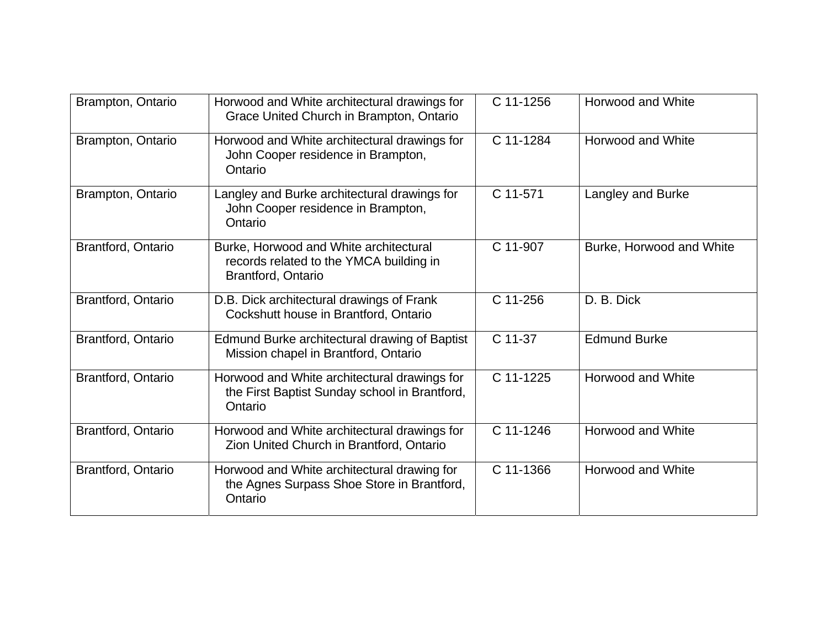| Brampton, Ontario  | Horwood and White architectural drawings for<br>Grace United Church in Brampton, Ontario                 | C 11-1256 | Horwood and White        |
|--------------------|----------------------------------------------------------------------------------------------------------|-----------|--------------------------|
| Brampton, Ontario  | Horwood and White architectural drawings for<br>John Cooper residence in Brampton,<br>Ontario            | C 11-1284 | Horwood and White        |
| Brampton, Ontario  | Langley and Burke architectural drawings for<br>John Cooper residence in Brampton,<br>Ontario            | C 11-571  | Langley and Burke        |
| Brantford, Ontario | Burke, Horwood and White architectural<br>records related to the YMCA building in<br>Brantford, Ontario  | C 11-907  | Burke, Horwood and White |
| Brantford, Ontario | D.B. Dick architectural drawings of Frank<br>Cockshutt house in Brantford, Ontario                       | C 11-256  | D. B. Dick               |
| Brantford, Ontario | Edmund Burke architectural drawing of Baptist<br>Mission chapel in Brantford, Ontario                    | C 11-37   | <b>Edmund Burke</b>      |
| Brantford, Ontario | Horwood and White architectural drawings for<br>the First Baptist Sunday school in Brantford,<br>Ontario | C 11-1225 | Horwood and White        |
| Brantford, Ontario | Horwood and White architectural drawings for<br>Zion United Church in Brantford, Ontario                 | C 11-1246 | <b>Horwood and White</b> |
| Brantford, Ontario | Horwood and White architectural drawing for<br>the Agnes Surpass Shoe Store in Brantford,<br>Ontario     | C 11-1366 | <b>Horwood and White</b> |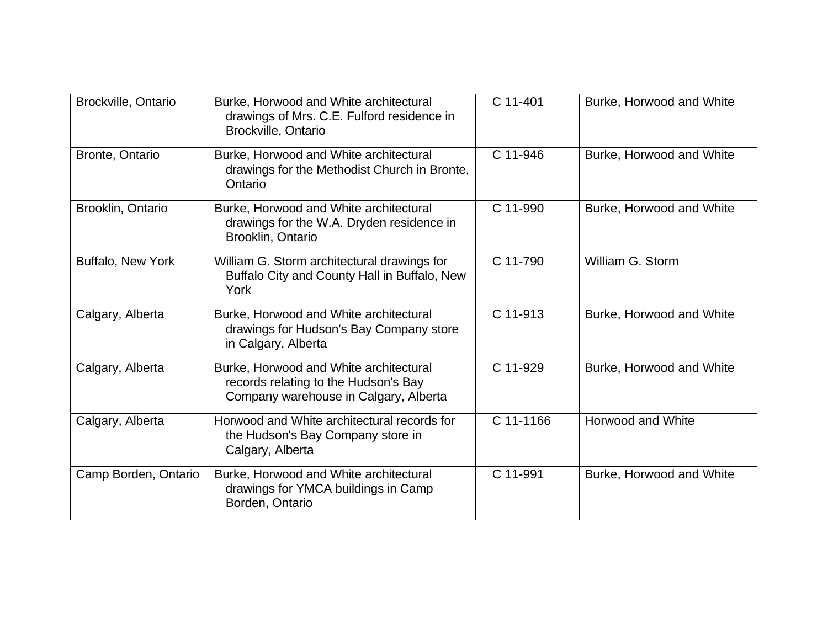| Brockville, Ontario  | Burke, Horwood and White architectural<br>drawings of Mrs. C.E. Fulford residence in<br><b>Brockville, Ontario</b>      | C 11-401  | Burke, Horwood and White |
|----------------------|-------------------------------------------------------------------------------------------------------------------------|-----------|--------------------------|
| Bronte, Ontario      | Burke, Horwood and White architectural<br>drawings for the Methodist Church in Bronte,<br>Ontario                       | C 11-946  | Burke, Horwood and White |
| Brooklin, Ontario    | Burke, Horwood and White architectural<br>drawings for the W.A. Dryden residence in<br>Brooklin, Ontario                | C 11-990  | Burke, Horwood and White |
| Buffalo, New York    | William G. Storm architectural drawings for<br>Buffalo City and County Hall in Buffalo, New<br>York                     | C 11-790  | William G. Storm         |
| Calgary, Alberta     | Burke, Horwood and White architectural<br>drawings for Hudson's Bay Company store<br>in Calgary, Alberta                | C 11-913  | Burke, Horwood and White |
| Calgary, Alberta     | Burke, Horwood and White architectural<br>records relating to the Hudson's Bay<br>Company warehouse in Calgary, Alberta | C 11-929  | Burke, Horwood and White |
| Calgary, Alberta     | Horwood and White architectural records for<br>the Hudson's Bay Company store in<br>Calgary, Alberta                    | C 11-1166 | Horwood and White        |
| Camp Borden, Ontario | Burke, Horwood and White architectural<br>drawings for YMCA buildings in Camp<br>Borden, Ontario                        | C 11-991  | Burke, Horwood and White |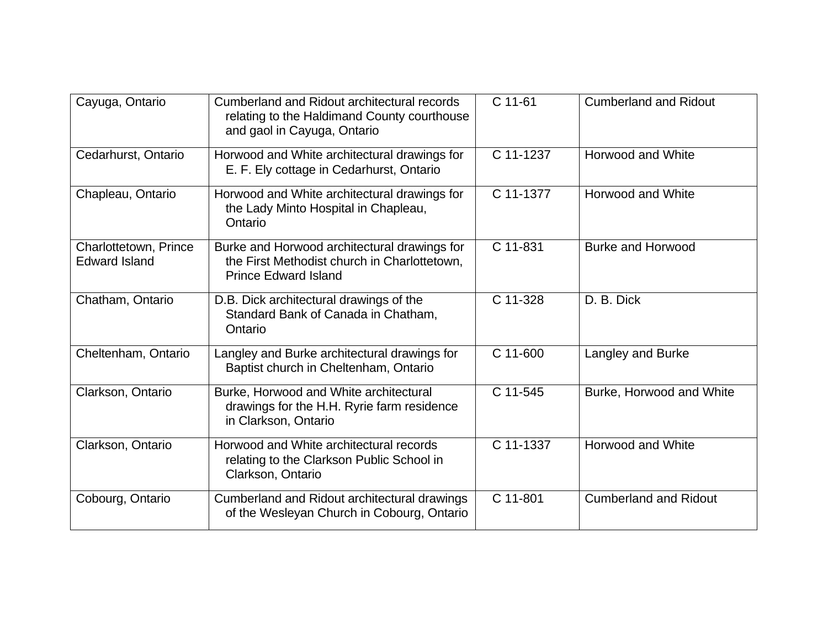| Cayuga, Ontario                               | Cumberland and Ridout architectural records<br>relating to the Haldimand County courthouse<br>and gaol in Cayuga, Ontario   | C 11-61   | <b>Cumberland and Ridout</b> |
|-----------------------------------------------|-----------------------------------------------------------------------------------------------------------------------------|-----------|------------------------------|
| Cedarhurst, Ontario                           | Horwood and White architectural drawings for<br>E. F. Ely cottage in Cedarhurst, Ontario                                    | C 11-1237 | <b>Horwood and White</b>     |
| Chapleau, Ontario                             | Horwood and White architectural drawings for<br>the Lady Minto Hospital in Chapleau,<br>Ontario                             | C 11-1377 | Horwood and White            |
| Charlottetown, Prince<br><b>Edward Island</b> | Burke and Horwood architectural drawings for<br>the First Methodist church in Charlottetown,<br><b>Prince Edward Island</b> | C 11-831  | <b>Burke and Horwood</b>     |
| Chatham, Ontario                              | D.B. Dick architectural drawings of the<br>Standard Bank of Canada in Chatham,<br>Ontario                                   | C 11-328  | D. B. Dick                   |
| Cheltenham, Ontario                           | Langley and Burke architectural drawings for<br>Baptist church in Cheltenham, Ontario                                       | C 11-600  | Langley and Burke            |
| Clarkson, Ontario                             | Burke, Horwood and White architectural<br>drawings for the H.H. Ryrie farm residence<br>in Clarkson, Ontario                | C 11-545  | Burke, Horwood and White     |
| Clarkson, Ontario                             | Horwood and White architectural records<br>relating to the Clarkson Public School in<br>Clarkson, Ontario                   | C 11-1337 | <b>Horwood and White</b>     |
| Cobourg, Ontario                              | Cumberland and Ridout architectural drawings<br>of the Wesleyan Church in Cobourg, Ontario                                  | C 11-801  | <b>Cumberland and Ridout</b> |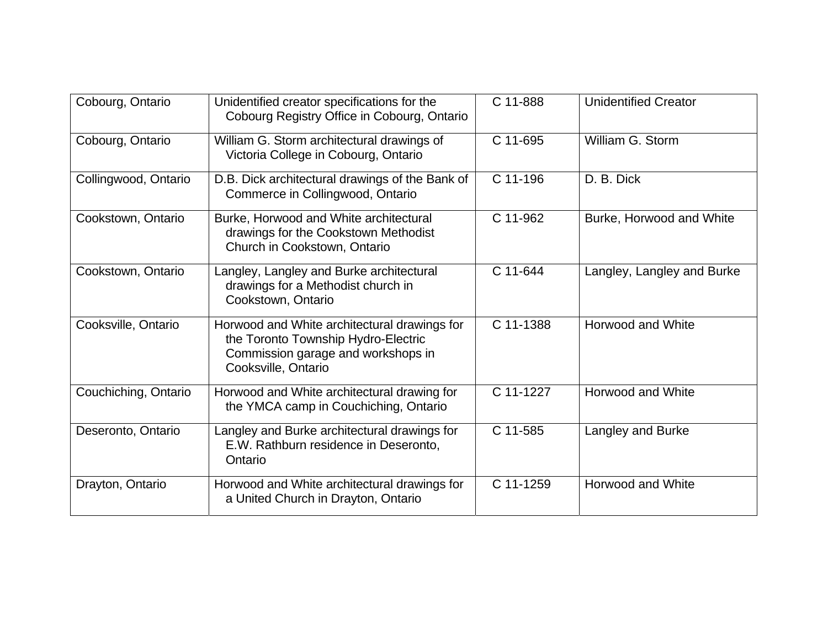| Cobourg, Ontario     | Unidentified creator specifications for the<br>Cobourg Registry Office in Cobourg, Ontario                                                       | C 11-888  | <b>Unidentified Creator</b> |
|----------------------|--------------------------------------------------------------------------------------------------------------------------------------------------|-----------|-----------------------------|
| Cobourg, Ontario     | William G. Storm architectural drawings of<br>Victoria College in Cobourg, Ontario                                                               | C 11-695  | William G. Storm            |
| Collingwood, Ontario | D.B. Dick architectural drawings of the Bank of<br>Commerce in Collingwood, Ontario                                                              | C 11-196  | D. B. Dick                  |
| Cookstown, Ontario   | Burke, Horwood and White architectural<br>drawings for the Cookstown Methodist<br>Church in Cookstown, Ontario                                   | C 11-962  | Burke, Horwood and White    |
| Cookstown, Ontario   | Langley, Langley and Burke architectural<br>drawings for a Methodist church in<br>Cookstown, Ontario                                             | C 11-644  | Langley, Langley and Burke  |
| Cooksville, Ontario  | Horwood and White architectural drawings for<br>the Toronto Township Hydro-Electric<br>Commission garage and workshops in<br>Cooksville, Ontario | C 11-1388 | Horwood and White           |
| Couchiching, Ontario | Horwood and White architectural drawing for<br>the YMCA camp in Couchiching, Ontario                                                             | C 11-1227 | <b>Horwood and White</b>    |
| Deseronto, Ontario   | Langley and Burke architectural drawings for<br>E.W. Rathburn residence in Deseronto,<br>Ontario                                                 | C 11-585  | Langley and Burke           |
| Drayton, Ontario     | Horwood and White architectural drawings for<br>a United Church in Drayton, Ontario                                                              | C 11-1259 | Horwood and White           |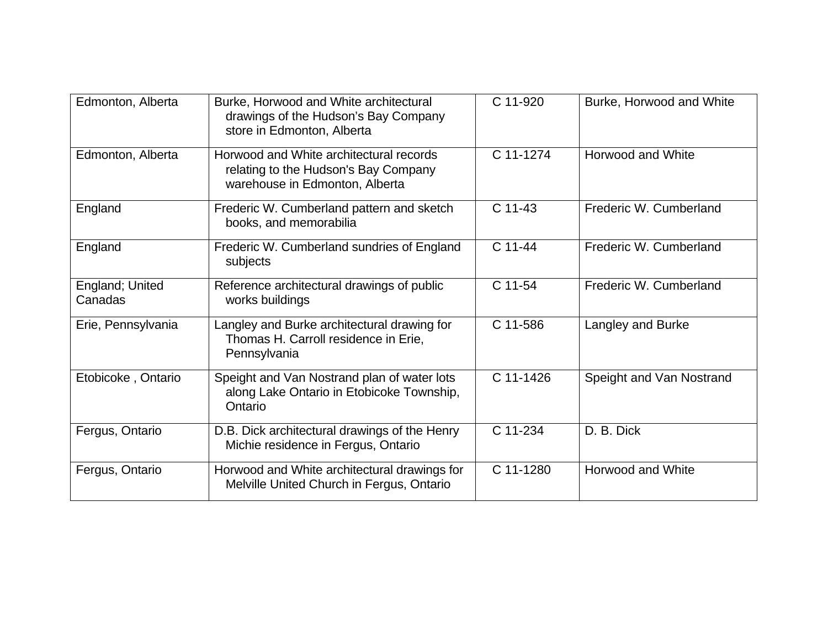| Edmonton, Alberta          | Burke, Horwood and White architectural<br>drawings of the Hudson's Bay Company<br>store in Edmonton, Alberta      | C 11-920  | Burke, Horwood and White |
|----------------------------|-------------------------------------------------------------------------------------------------------------------|-----------|--------------------------|
| Edmonton, Alberta          | Horwood and White architectural records<br>relating to the Hudson's Bay Company<br>warehouse in Edmonton, Alberta | C 11-1274 | Horwood and White        |
| England                    | Frederic W. Cumberland pattern and sketch<br>books, and memorabilia                                               | C 11-43   | Frederic W. Cumberland   |
| England                    | Frederic W. Cumberland sundries of England<br>subjects                                                            | C 11-44   | Frederic W. Cumberland   |
| England; United<br>Canadas | Reference architectural drawings of public<br>works buildings                                                     | C 11-54   | Frederic W. Cumberland   |
| Erie, Pennsylvania         | Langley and Burke architectural drawing for<br>Thomas H. Carroll residence in Erie,<br>Pennsylvania               | C 11-586  | Langley and Burke        |
| Etobicoke, Ontario         | Speight and Van Nostrand plan of water lots<br>along Lake Ontario in Etobicoke Township,<br>Ontario               | C 11-1426 | Speight and Van Nostrand |
| Fergus, Ontario            | D.B. Dick architectural drawings of the Henry<br>Michie residence in Fergus, Ontario                              | C 11-234  | D. B. Dick               |
| Fergus, Ontario            | Horwood and White architectural drawings for<br>Melville United Church in Fergus, Ontario                         | C 11-1280 | <b>Horwood and White</b> |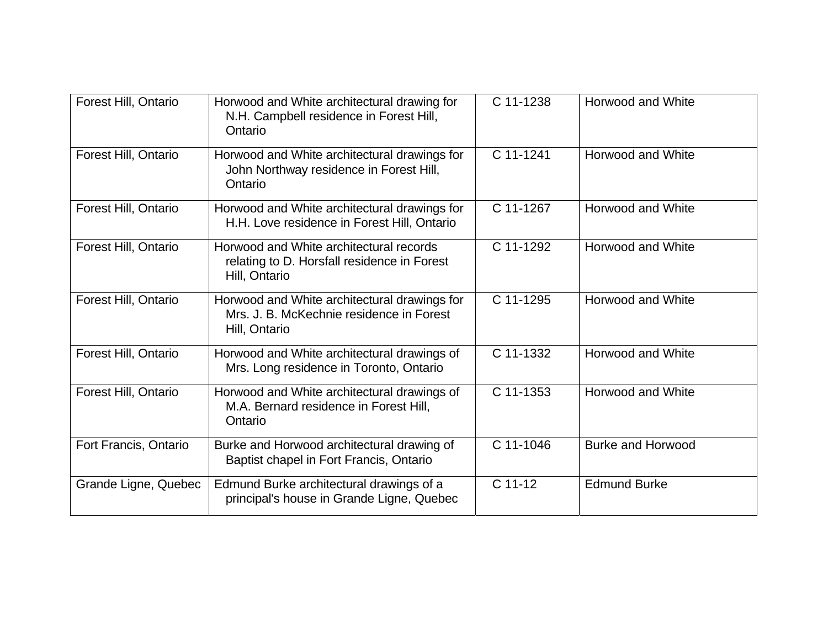| Forest Hill, Ontario  | Horwood and White architectural drawing for<br>N.H. Campbell residence in Forest Hill,<br>Ontario         | C 11-1238 | Horwood and White        |
|-----------------------|-----------------------------------------------------------------------------------------------------------|-----------|--------------------------|
| Forest Hill, Ontario  | Horwood and White architectural drawings for<br>John Northway residence in Forest Hill,<br>Ontario        | C 11-1241 | <b>Horwood and White</b> |
| Forest Hill, Ontario  | Horwood and White architectural drawings for<br>H.H. Love residence in Forest Hill, Ontario               | C 11-1267 | <b>Horwood and White</b> |
| Forest Hill, Ontario  | Horwood and White architectural records<br>relating to D. Horsfall residence in Forest<br>Hill, Ontario   | C 11-1292 | Horwood and White        |
| Forest Hill, Ontario  | Horwood and White architectural drawings for<br>Mrs. J. B. McKechnie residence in Forest<br>Hill, Ontario | C 11-1295 | Horwood and White        |
| Forest Hill, Ontario  | Horwood and White architectural drawings of<br>Mrs. Long residence in Toronto, Ontario                    | C 11-1332 | <b>Horwood and White</b> |
| Forest Hill, Ontario  | Horwood and White architectural drawings of<br>M.A. Bernard residence in Forest Hill,<br>Ontario          | C 11-1353 | <b>Horwood and White</b> |
| Fort Francis, Ontario | Burke and Horwood architectural drawing of<br>Baptist chapel in Fort Francis, Ontario                     | C 11-1046 | <b>Burke and Horwood</b> |
| Grande Ligne, Quebec  | Edmund Burke architectural drawings of a<br>principal's house in Grande Ligne, Quebec                     | $C$ 11-12 | <b>Edmund Burke</b>      |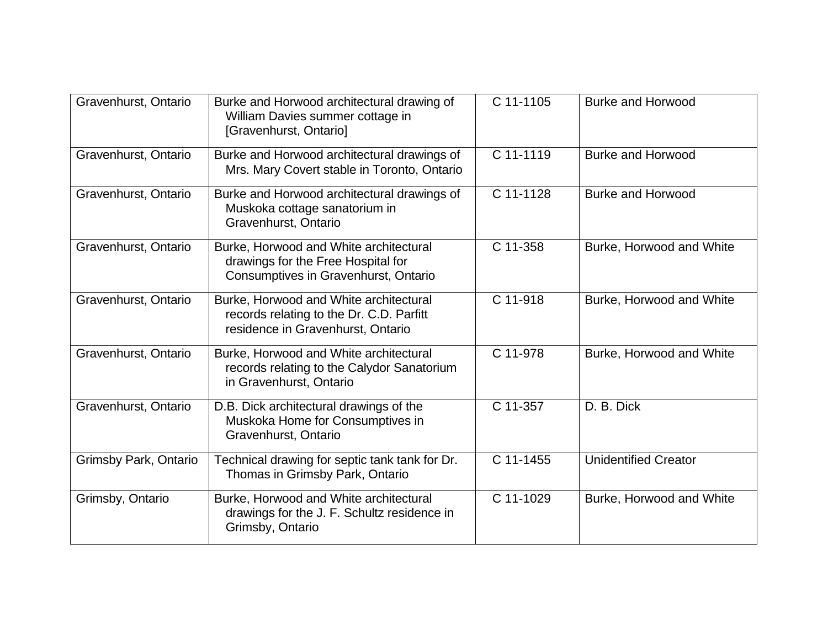| Gravenhurst, Ontario  | Burke and Horwood architectural drawing of<br>William Davies summer cottage in<br>[Gravenhurst, Ontario]                | C 11-1105 | Burke and Horwood           |
|-----------------------|-------------------------------------------------------------------------------------------------------------------------|-----------|-----------------------------|
| Gravenhurst, Ontario  | Burke and Horwood architectural drawings of<br>Mrs. Mary Covert stable in Toronto, Ontario                              | C 11-1119 | <b>Burke and Horwood</b>    |
| Gravenhurst, Ontario  | Burke and Horwood architectural drawings of<br>Muskoka cottage sanatorium in<br>Gravenhurst, Ontario                    | C 11-1128 | <b>Burke and Horwood</b>    |
| Gravenhurst, Ontario  | Burke, Horwood and White architectural<br>drawings for the Free Hospital for<br>Consumptives in Gravenhurst, Ontario    | C 11-358  | Burke, Horwood and White    |
| Gravenhurst, Ontario  | Burke, Horwood and White architectural<br>records relating to the Dr. C.D. Parfitt<br>residence in Gravenhurst, Ontario | C 11-918  | Burke, Horwood and White    |
| Gravenhurst, Ontario  | Burke, Horwood and White architectural<br>records relating to the Calydor Sanatorium<br>in Gravenhurst, Ontario         | C 11-978  | Burke, Horwood and White    |
| Gravenhurst, Ontario  | D.B. Dick architectural drawings of the<br>Muskoka Home for Consumptives in<br>Gravenhurst, Ontario                     | C 11-357  | D. B. Dick                  |
| Grimsby Park, Ontario | Technical drawing for septic tank tank for Dr.<br>Thomas in Grimsby Park, Ontario                                       | C 11-1455 | <b>Unidentified Creator</b> |
| Grimsby, Ontario      | Burke, Horwood and White architectural<br>drawings for the J. F. Schultz residence in<br>Grimsby, Ontario               | C 11-1029 | Burke, Horwood and White    |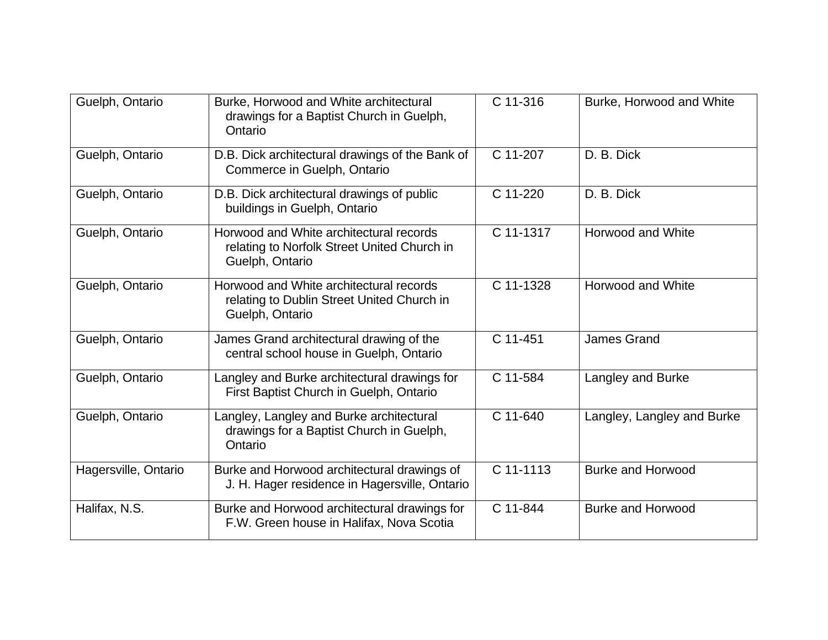| Guelph, Ontario      | Burke, Horwood and White architectural<br>drawings for a Baptist Church in Guelph,<br>Ontario             | C 11-316  | Burke, Horwood and White   |
|----------------------|-----------------------------------------------------------------------------------------------------------|-----------|----------------------------|
| Guelph, Ontario      | D.B. Dick architectural drawings of the Bank of<br>Commerce in Guelph, Ontario                            | C 11-207  | D. B. Dick                 |
| Guelph, Ontario      | D.B. Dick architectural drawings of public<br>buildings in Guelph, Ontario                                | C 11-220  | D. B. Dick                 |
| Guelph, Ontario      | Horwood and White architectural records<br>relating to Norfolk Street United Church in<br>Guelph, Ontario | C 11-1317 | Horwood and White          |
| Guelph, Ontario      | Horwood and White architectural records<br>relating to Dublin Street United Church in<br>Guelph, Ontario  | C 11-1328 | Horwood and White          |
| Guelph, Ontario      | James Grand architectural drawing of the<br>central school house in Guelph, Ontario                       | C 11-451  | James Grand                |
| Guelph, Ontario      | Langley and Burke architectural drawings for<br>First Baptist Church in Guelph, Ontario                   | C 11-584  | Langley and Burke          |
| Guelph, Ontario      | Langley, Langley and Burke architectural<br>drawings for a Baptist Church in Guelph,<br>Ontario           | C 11-640  | Langley, Langley and Burke |
| Hagersville, Ontario | Burke and Horwood architectural drawings of<br>J. H. Hager residence in Hagersville, Ontario              | C 11-1113 | <b>Burke and Horwood</b>   |
| Halifax, N.S.        | Burke and Horwood architectural drawings for<br>F.W. Green house in Halifax, Nova Scotia                  | C 11-844  | <b>Burke and Horwood</b>   |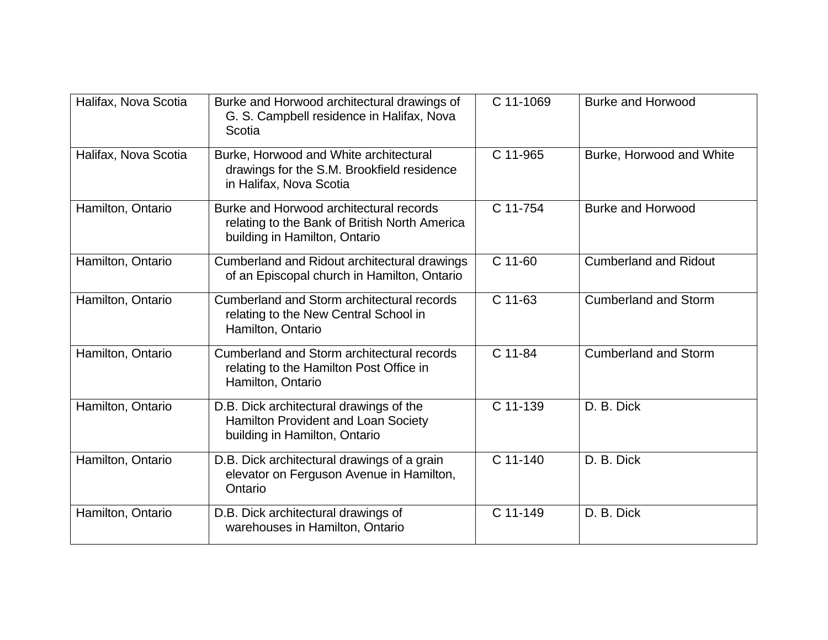| Halifax, Nova Scotia | Burke and Horwood architectural drawings of<br>G. S. Campbell residence in Halifax, Nova<br>Scotia                        | C 11-1069 | <b>Burke and Horwood</b>     |
|----------------------|---------------------------------------------------------------------------------------------------------------------------|-----------|------------------------------|
| Halifax, Nova Scotia | Burke, Horwood and White architectural<br>drawings for the S.M. Brookfield residence<br>in Halifax, Nova Scotia           | C 11-965  | Burke, Horwood and White     |
| Hamilton, Ontario    | Burke and Horwood architectural records<br>relating to the Bank of British North America<br>building in Hamilton, Ontario | C 11-754  | <b>Burke and Horwood</b>     |
| Hamilton, Ontario    | Cumberland and Ridout architectural drawings<br>of an Episcopal church in Hamilton, Ontario                               | $C$ 11-60 | <b>Cumberland and Ridout</b> |
| Hamilton, Ontario    | Cumberland and Storm architectural records<br>relating to the New Central School in<br>Hamilton, Ontario                  | C 11-63   | <b>Cumberland and Storm</b>  |
| Hamilton, Ontario    | Cumberland and Storm architectural records<br>relating to the Hamilton Post Office in<br>Hamilton, Ontario                | C 11-84   | <b>Cumberland and Storm</b>  |
| Hamilton, Ontario    | D.B. Dick architectural drawings of the<br>Hamilton Provident and Loan Society<br>building in Hamilton, Ontario           | C 11-139  | D. B. Dick                   |
| Hamilton, Ontario    | D.B. Dick architectural drawings of a grain<br>elevator on Ferguson Avenue in Hamilton,<br>Ontario                        | C 11-140  | D. B. Dick                   |
| Hamilton, Ontario    | D.B. Dick architectural drawings of<br>warehouses in Hamilton, Ontario                                                    | C 11-149  | D. B. Dick                   |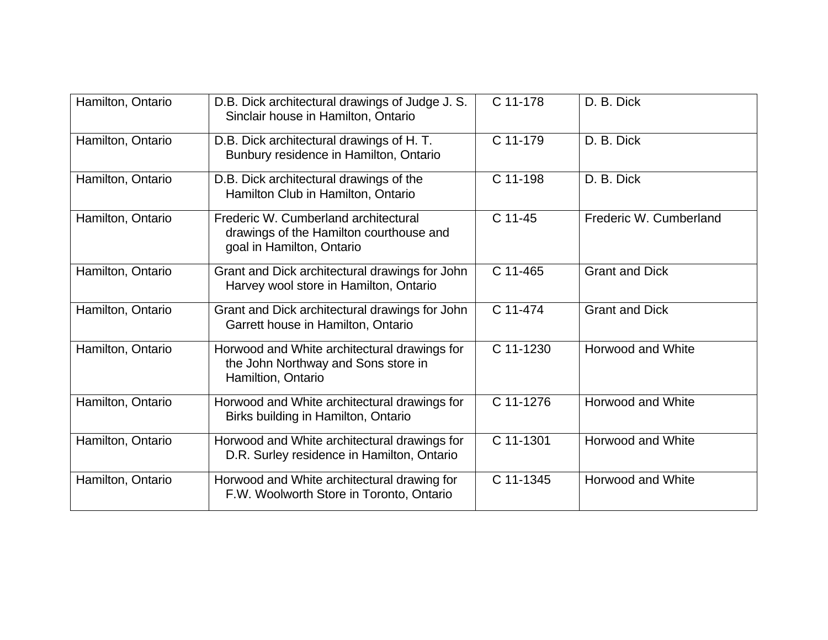| Hamilton, Ontario | D.B. Dick architectural drawings of Judge J. S.<br>Sinclair house in Hamilton, Ontario                       | C 11-178  | D. B. Dick               |
|-------------------|--------------------------------------------------------------------------------------------------------------|-----------|--------------------------|
| Hamilton, Ontario | D.B. Dick architectural drawings of H.T.<br>Bunbury residence in Hamilton, Ontario                           | C 11-179  | D. B. Dick               |
| Hamilton, Ontario | D.B. Dick architectural drawings of the<br>Hamilton Club in Hamilton, Ontario                                | C 11-198  | D. B. Dick               |
| Hamilton, Ontario | Frederic W. Cumberland architectural<br>drawings of the Hamilton courthouse and<br>goal in Hamilton, Ontario | C 11-45   | Frederic W. Cumberland   |
| Hamilton, Ontario | Grant and Dick architectural drawings for John<br>Harvey wool store in Hamilton, Ontario                     | C 11-465  | <b>Grant and Dick</b>    |
| Hamilton, Ontario | Grant and Dick architectural drawings for John<br>Garrett house in Hamilton, Ontario                         | C 11-474  | <b>Grant and Dick</b>    |
| Hamilton, Ontario | Horwood and White architectural drawings for<br>the John Northway and Sons store in<br>Hamiltion, Ontario    | C 11-1230 | <b>Horwood and White</b> |
| Hamilton, Ontario | Horwood and White architectural drawings for<br>Birks building in Hamilton, Ontario                          | C 11-1276 | Horwood and White        |
| Hamilton, Ontario | Horwood and White architectural drawings for<br>D.R. Surley residence in Hamilton, Ontario                   | C 11-1301 | Horwood and White        |
| Hamilton, Ontario | Horwood and White architectural drawing for<br>F.W. Woolworth Store in Toronto, Ontario                      | C 11-1345 | Horwood and White        |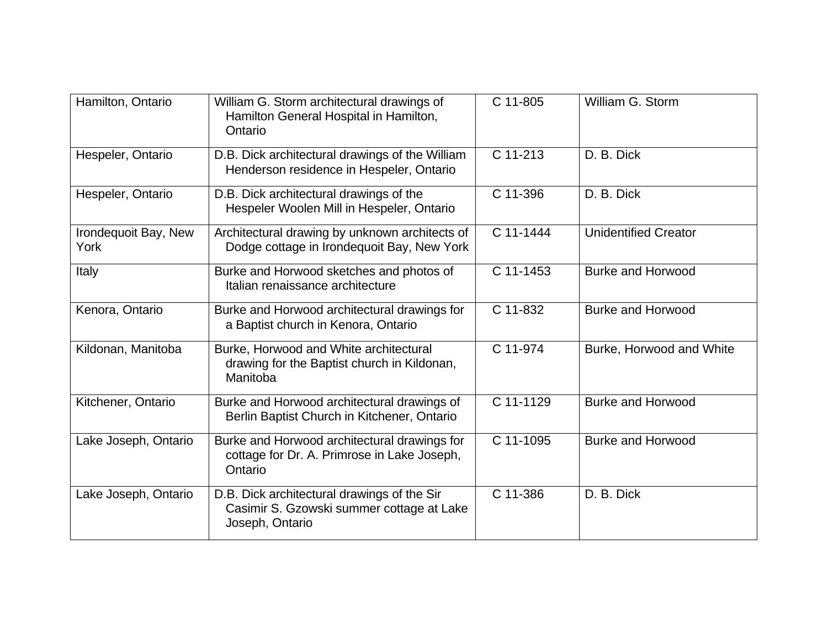| Hamilton, Ontario            | William G. Storm architectural drawings of<br>Hamilton General Hospital in Hamilton,<br>Ontario             | C 11-805  | William G. Storm            |
|------------------------------|-------------------------------------------------------------------------------------------------------------|-----------|-----------------------------|
| Hespeler, Ontario            | D.B. Dick architectural drawings of the William<br>Henderson residence in Hespeler, Ontario                 | C 11-213  | D. B. Dick                  |
| Hespeler, Ontario            | D.B. Dick architectural drawings of the<br>Hespeler Woolen Mill in Hespeler, Ontario                        | C 11-396  | D. B. Dick                  |
| Irondequoit Bay, New<br>York | Architectural drawing by unknown architects of<br>Dodge cottage in Irondequoit Bay, New York                | C 11-1444 | <b>Unidentified Creator</b> |
| Italy                        | Burke and Horwood sketches and photos of<br>Italian renaissance architecture                                | C 11-1453 | <b>Burke and Horwood</b>    |
| Kenora, Ontario              | Burke and Horwood architectural drawings for<br>a Baptist church in Kenora, Ontario                         | C 11-832  | <b>Burke and Horwood</b>    |
| Kildonan, Manitoba           | Burke, Horwood and White architectural<br>drawing for the Baptist church in Kildonan,<br>Manitoba           | C 11-974  | Burke, Horwood and White    |
| Kitchener, Ontario           | Burke and Horwood architectural drawings of<br>Berlin Baptist Church in Kitchener, Ontario                  | C 11-1129 | <b>Burke and Horwood</b>    |
| Lake Joseph, Ontario         | Burke and Horwood architectural drawings for<br>cottage for Dr. A. Primrose in Lake Joseph,<br>Ontario      | C 11-1095 | <b>Burke and Horwood</b>    |
| Lake Joseph, Ontario         | D.B. Dick architectural drawings of the Sir<br>Casimir S. Gzowski summer cottage at Lake<br>Joseph, Ontario | C 11-386  | D. B. Dick                  |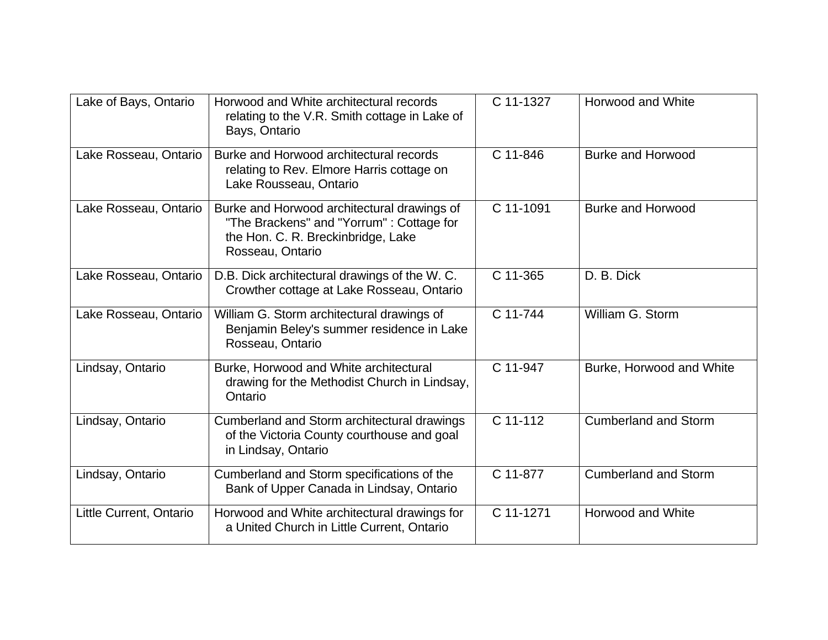| Lake of Bays, Ontario   | Horwood and White architectural records<br>relating to the V.R. Smith cottage in Lake of<br>Bays, Ontario                                         | C 11-1327 | <b>Horwood and White</b>    |
|-------------------------|---------------------------------------------------------------------------------------------------------------------------------------------------|-----------|-----------------------------|
| Lake Rosseau, Ontario   | Burke and Horwood architectural records<br>relating to Rev. Elmore Harris cottage on<br>Lake Rousseau, Ontario                                    | C 11-846  | <b>Burke and Horwood</b>    |
| Lake Rosseau, Ontario   | Burke and Horwood architectural drawings of<br>"The Brackens" and "Yorrum": Cottage for<br>the Hon. C. R. Breckinbridge, Lake<br>Rosseau, Ontario | C 11-1091 | <b>Burke and Horwood</b>    |
| Lake Rosseau, Ontario   | D.B. Dick architectural drawings of the W.C.<br>Crowther cottage at Lake Rosseau, Ontario                                                         | C 11-365  | D. B. Dick                  |
| Lake Rosseau, Ontario   | William G. Storm architectural drawings of<br>Benjamin Beley's summer residence in Lake<br>Rosseau, Ontario                                       | C 11-744  | William G. Storm            |
| Lindsay, Ontario        | Burke, Horwood and White architectural<br>drawing for the Methodist Church in Lindsay,<br>Ontario                                                 | C 11-947  | Burke, Horwood and White    |
| Lindsay, Ontario        | Cumberland and Storm architectural drawings<br>of the Victoria County courthouse and goal<br>in Lindsay, Ontario                                  | C 11-112  | <b>Cumberland and Storm</b> |
| Lindsay, Ontario        | Cumberland and Storm specifications of the<br>Bank of Upper Canada in Lindsay, Ontario                                                            | C 11-877  | <b>Cumberland and Storm</b> |
| Little Current, Ontario | Horwood and White architectural drawings for<br>a United Church in Little Current, Ontario                                                        | C 11-1271 | <b>Horwood and White</b>    |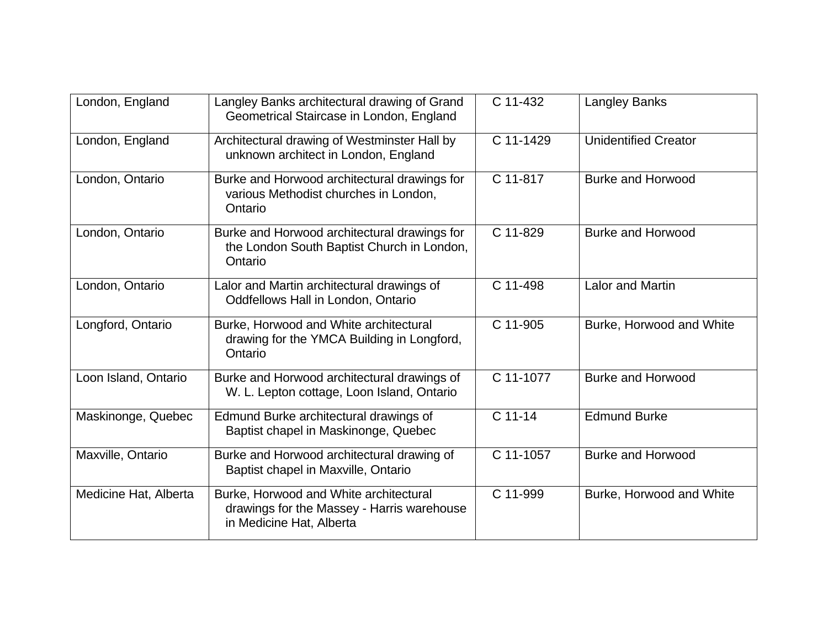| London, England       | Langley Banks architectural drawing of Grand<br>Geometrical Staircase in London, England                         | C 11-432  | <b>Langley Banks</b>        |
|-----------------------|------------------------------------------------------------------------------------------------------------------|-----------|-----------------------------|
| London, England       | Architectural drawing of Westminster Hall by<br>unknown architect in London, England                             | C 11-1429 | <b>Unidentified Creator</b> |
| London, Ontario       | Burke and Horwood architectural drawings for<br>various Methodist churches in London,<br>Ontario                 | C 11-817  | <b>Burke and Horwood</b>    |
| London, Ontario       | Burke and Horwood architectural drawings for<br>the London South Baptist Church in London,<br>Ontario            | C 11-829  | <b>Burke and Horwood</b>    |
| London, Ontario       | Lalor and Martin architectural drawings of<br>Oddfellows Hall in London, Ontario                                 | C 11-498  | <b>Lalor and Martin</b>     |
| Longford, Ontario     | Burke, Horwood and White architectural<br>drawing for the YMCA Building in Longford,<br>Ontario                  | C 11-905  | Burke, Horwood and White    |
| Loon Island, Ontario  | Burke and Horwood architectural drawings of<br>W. L. Lepton cottage, Loon Island, Ontario                        | C 11-1077 | <b>Burke and Horwood</b>    |
| Maskinonge, Quebec    | Edmund Burke architectural drawings of<br>Baptist chapel in Maskinonge, Quebec                                   | C 11-14   | <b>Edmund Burke</b>         |
| Maxville, Ontario     | Burke and Horwood architectural drawing of<br>Baptist chapel in Maxville, Ontario                                | C 11-1057 | <b>Burke and Horwood</b>    |
| Medicine Hat, Alberta | Burke, Horwood and White architectural<br>drawings for the Massey - Harris warehouse<br>in Medicine Hat, Alberta | C 11-999  | Burke, Horwood and White    |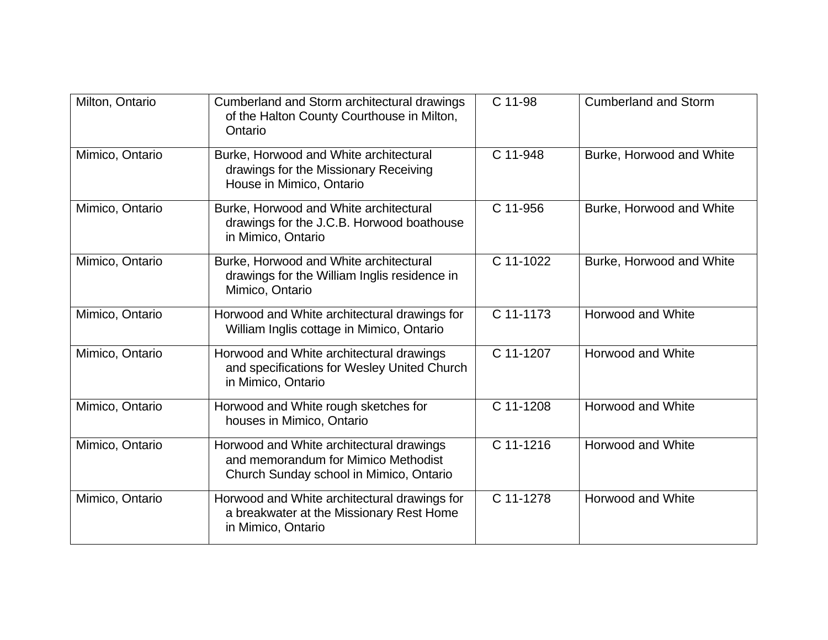| Milton, Ontario | Cumberland and Storm architectural drawings<br>of the Halton County Courthouse in Milton,<br>Ontario                       | C 11-98   | <b>Cumberland and Storm</b> |
|-----------------|----------------------------------------------------------------------------------------------------------------------------|-----------|-----------------------------|
| Mimico, Ontario | Burke, Horwood and White architectural<br>drawings for the Missionary Receiving<br>House in Mimico, Ontario                | C 11-948  | Burke, Horwood and White    |
| Mimico, Ontario | Burke, Horwood and White architectural<br>drawings for the J.C.B. Horwood boathouse<br>in Mimico, Ontario                  | C 11-956  | Burke, Horwood and White    |
| Mimico, Ontario | Burke, Horwood and White architectural<br>drawings for the William Inglis residence in<br>Mimico, Ontario                  | C 11-1022 | Burke, Horwood and White    |
| Mimico, Ontario | Horwood and White architectural drawings for<br>William Inglis cottage in Mimico, Ontario                                  | C 11-1173 | <b>Horwood and White</b>    |
| Mimico, Ontario | Horwood and White architectural drawings<br>and specifications for Wesley United Church<br>in Mimico, Ontario              | C 11-1207 | Horwood and White           |
| Mimico, Ontario | Horwood and White rough sketches for<br>houses in Mimico, Ontario                                                          | C 11-1208 | Horwood and White           |
| Mimico, Ontario | Horwood and White architectural drawings<br>and memorandum for Mimico Methodist<br>Church Sunday school in Mimico, Ontario | C 11-1216 | <b>Horwood and White</b>    |
| Mimico, Ontario | Horwood and White architectural drawings for<br>a breakwater at the Missionary Rest Home<br>in Mimico, Ontario             | C 11-1278 | <b>Horwood and White</b>    |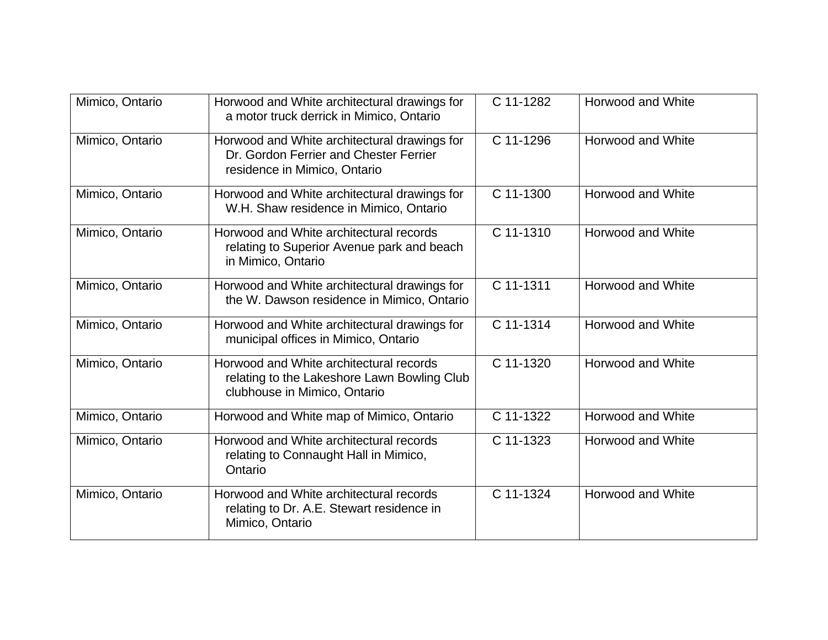| Mimico, Ontario | Horwood and White architectural drawings for<br>a motor truck derrick in Mimico, Ontario                               | C 11-1282 | Horwood and White        |
|-----------------|------------------------------------------------------------------------------------------------------------------------|-----------|--------------------------|
| Mimico, Ontario | Horwood and White architectural drawings for<br>Dr. Gordon Ferrier and Chester Ferrier<br>residence in Mimico, Ontario | C 11-1296 | Horwood and White        |
| Mimico, Ontario | Horwood and White architectural drawings for<br>W.H. Shaw residence in Mimico, Ontario                                 | C 11-1300 | Horwood and White        |
| Mimico, Ontario | Horwood and White architectural records<br>relating to Superior Avenue park and beach<br>in Mimico, Ontario            | C 11-1310 | Horwood and White        |
| Mimico, Ontario | Horwood and White architectural drawings for<br>the W. Dawson residence in Mimico, Ontario                             | C 11-1311 | Horwood and White        |
| Mimico, Ontario | Horwood and White architectural drawings for<br>municipal offices in Mimico, Ontario                                   | C 11-1314 | <b>Horwood and White</b> |
| Mimico, Ontario | Horwood and White architectural records<br>relating to the Lakeshore Lawn Bowling Club<br>clubhouse in Mimico, Ontario | C 11-1320 | Horwood and White        |
| Mimico, Ontario | Horwood and White map of Mimico, Ontario                                                                               | C 11-1322 | Horwood and White        |
| Mimico, Ontario | Horwood and White architectural records<br>relating to Connaught Hall in Mimico,<br>Ontario                            | C 11-1323 | Horwood and White        |
| Mimico, Ontario | Horwood and White architectural records<br>relating to Dr. A.E. Stewart residence in<br>Mimico, Ontario                | C 11-1324 | Horwood and White        |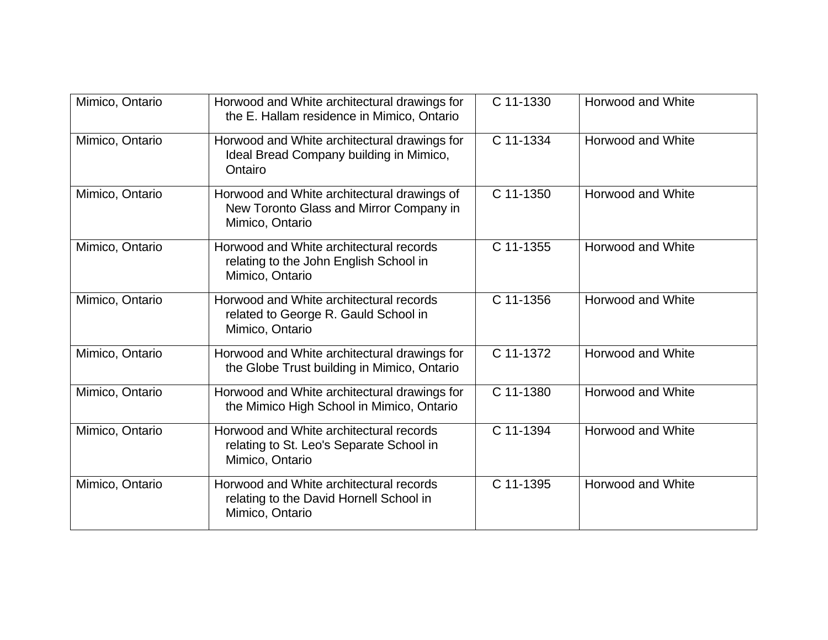| Mimico, Ontario | Horwood and White architectural drawings for<br>the E. Hallam residence in Mimico, Ontario                | C 11-1330 | <b>Horwood and White</b> |
|-----------------|-----------------------------------------------------------------------------------------------------------|-----------|--------------------------|
| Mimico, Ontario | Horwood and White architectural drawings for<br>Ideal Bread Company building in Mimico,<br>Ontairo        | C 11-1334 | Horwood and White        |
| Mimico, Ontario | Horwood and White architectural drawings of<br>New Toronto Glass and Mirror Company in<br>Mimico, Ontario | C 11-1350 | Horwood and White        |
| Mimico, Ontario | Horwood and White architectural records<br>relating to the John English School in<br>Mimico, Ontario      | C 11-1355 | Horwood and White        |
| Mimico, Ontario | Horwood and White architectural records<br>related to George R. Gauld School in<br>Mimico, Ontario        | C 11-1356 | <b>Horwood and White</b> |
| Mimico, Ontario | Horwood and White architectural drawings for<br>the Globe Trust building in Mimico, Ontario               | C 11-1372 | Horwood and White        |
| Mimico, Ontario | Horwood and White architectural drawings for<br>the Mimico High School in Mimico, Ontario                 | C 11-1380 | Horwood and White        |
| Mimico, Ontario | Horwood and White architectural records<br>relating to St. Leo's Separate School in<br>Mimico, Ontario    | C 11-1394 | Horwood and White        |
| Mimico, Ontario | Horwood and White architectural records<br>relating to the David Hornell School in<br>Mimico, Ontario     | C 11-1395 | Horwood and White        |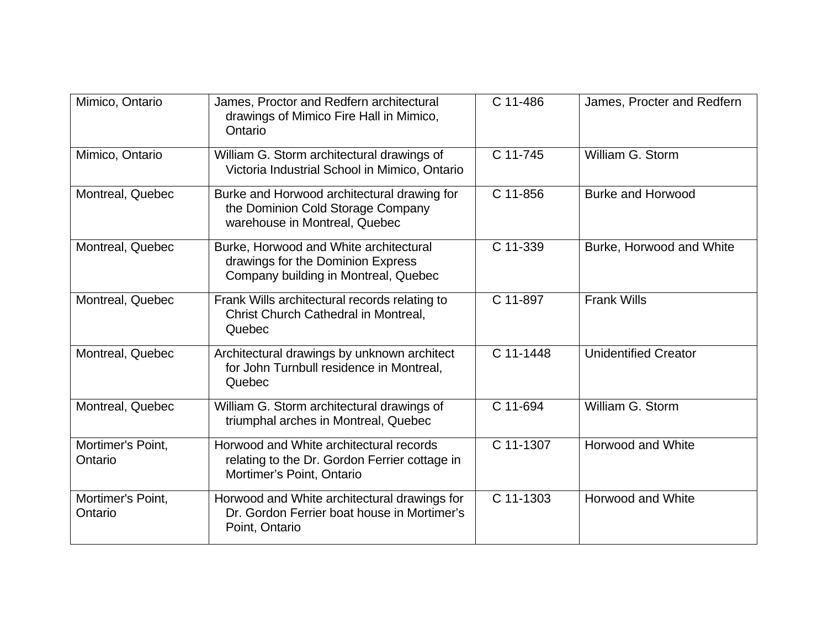| Mimico, Ontario              | James, Proctor and Redfern architectural<br>drawings of Mimico Fire Hall in Mimico,<br>Ontario                        | C 11-486  | James, Procter and Redfern  |
|------------------------------|-----------------------------------------------------------------------------------------------------------------------|-----------|-----------------------------|
| Mimico, Ontario              | William G. Storm architectural drawings of<br>Victoria Industrial School in Mimico, Ontario                           | C 11-745  | William G. Storm            |
| Montreal, Quebec             | Burke and Horwood architectural drawing for<br>the Dominion Cold Storage Company<br>warehouse in Montreal, Quebec     | C 11-856  | <b>Burke and Horwood</b>    |
| Montreal, Quebec             | Burke, Horwood and White architectural<br>drawings for the Dominion Express<br>Company building in Montreal, Quebec   | C 11-339  | Burke, Horwood and White    |
| Montreal, Quebec             | Frank Wills architectural records relating to<br>Christ Church Cathedral in Montreal,<br>Quebec                       | C 11-897  | <b>Frank Wills</b>          |
| Montreal, Quebec             | Architectural drawings by unknown architect<br>for John Turnbull residence in Montreal,<br>Quebec                     | C 11-1448 | <b>Unidentified Creator</b> |
| Montreal, Quebec             | William G. Storm architectural drawings of<br>triumphal arches in Montreal, Quebec                                    | C 11-694  | William G. Storm            |
| Mortimer's Point,<br>Ontario | Horwood and White architectural records<br>relating to the Dr. Gordon Ferrier cottage in<br>Mortimer's Point, Ontario | C 11-1307 | Horwood and White           |
| Mortimer's Point,<br>Ontario | Horwood and White architectural drawings for<br>Dr. Gordon Ferrier boat house in Mortimer's<br>Point, Ontario         | C 11-1303 | Horwood and White           |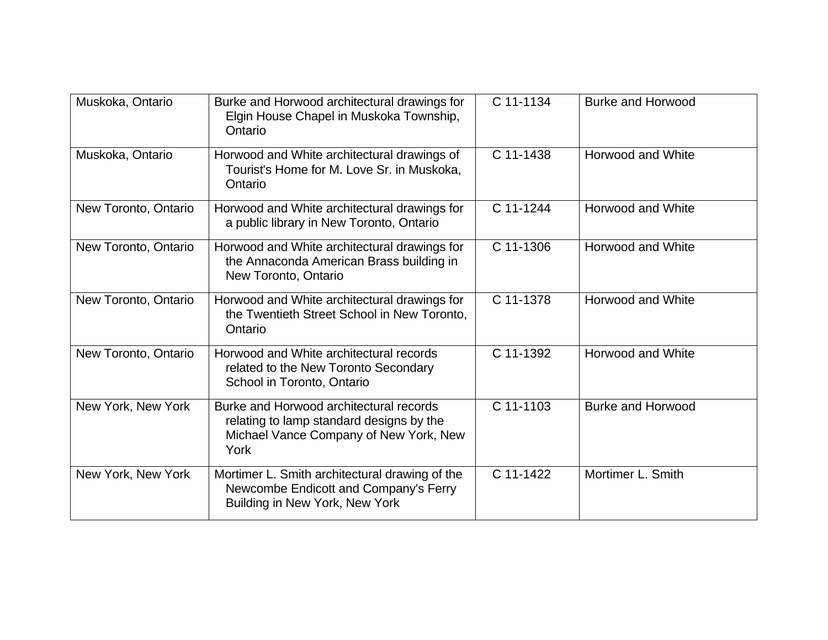| Muskoka, Ontario     | Burke and Horwood architectural drawings for<br>Elgin House Chapel in Muskoka Township,<br>Ontario                                    | C 11-1134 | <b>Burke and Horwood</b> |
|----------------------|---------------------------------------------------------------------------------------------------------------------------------------|-----------|--------------------------|
| Muskoka, Ontario     | Horwood and White architectural drawings of<br>Tourist's Home for M. Love Sr. in Muskoka,<br>Ontario                                  | C 11-1438 | Horwood and White        |
| New Toronto, Ontario | Horwood and White architectural drawings for<br>a public library in New Toronto, Ontario                                              | C 11-1244 | Horwood and White        |
| New Toronto, Ontario | Horwood and White architectural drawings for<br>the Annaconda American Brass building in<br>New Toronto, Ontario                      | C 11-1306 | Horwood and White        |
| New Toronto, Ontario | Horwood and White architectural drawings for<br>the Twentieth Street School in New Toronto,<br>Ontario                                | C 11-1378 | Horwood and White        |
| New Toronto, Ontario | Horwood and White architectural records<br>related to the New Toronto Secondary<br>School in Toronto, Ontario                         | C 11-1392 | Horwood and White        |
| New York, New York   | Burke and Horwood architectural records<br>relating to lamp standard designs by the<br>Michael Vance Company of New York, New<br>York | C 11-1103 | <b>Burke and Horwood</b> |
| New York, New York   | Mortimer L. Smith architectural drawing of the<br>Newcombe Endicott and Company's Ferry<br>Building in New York, New York             | C 11-1422 | Mortimer L. Smith        |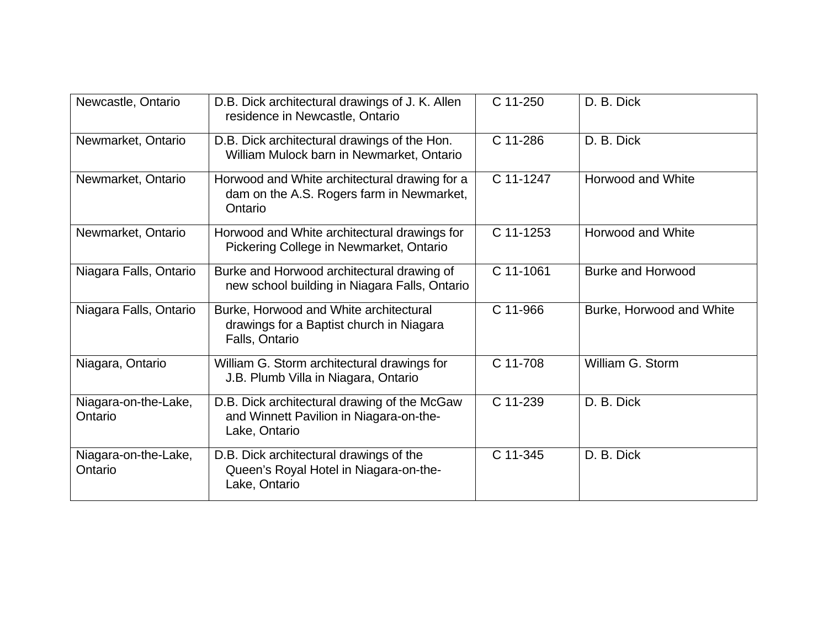| Newcastle, Ontario              | D.B. Dick architectural drawings of J. K. Allen<br>residence in Newcastle, Ontario                       | C 11-250  | D. B. Dick               |
|---------------------------------|----------------------------------------------------------------------------------------------------------|-----------|--------------------------|
| Newmarket, Ontario              | D.B. Dick architectural drawings of the Hon.<br>William Mulock barn in Newmarket, Ontario                | C 11-286  | D. B. Dick               |
| Newmarket, Ontario              | Horwood and White architectural drawing for a<br>dam on the A.S. Rogers farm in Newmarket,<br>Ontario    | C 11-1247 | <b>Horwood and White</b> |
| Newmarket, Ontario              | Horwood and White architectural drawings for<br>Pickering College in Newmarket, Ontario                  | C 11-1253 | Horwood and White        |
| Niagara Falls, Ontario          | Burke and Horwood architectural drawing of<br>new school building in Niagara Falls, Ontario              | C 11-1061 | <b>Burke and Horwood</b> |
| Niagara Falls, Ontario          | Burke, Horwood and White architectural<br>drawings for a Baptist church in Niagara<br>Falls, Ontario     | C 11-966  | Burke, Horwood and White |
| Niagara, Ontario                | William G. Storm architectural drawings for<br>J.B. Plumb Villa in Niagara, Ontario                      | C 11-708  | William G. Storm         |
| Niagara-on-the-Lake,<br>Ontario | D.B. Dick architectural drawing of the McGaw<br>and Winnett Pavilion in Niagara-on-the-<br>Lake, Ontario | C 11-239  | D. B. Dick               |
| Niagara-on-the-Lake,<br>Ontario | D.B. Dick architectural drawings of the<br>Queen's Royal Hotel in Niagara-on-the-<br>Lake, Ontario       | C 11-345  | D. B. Dick               |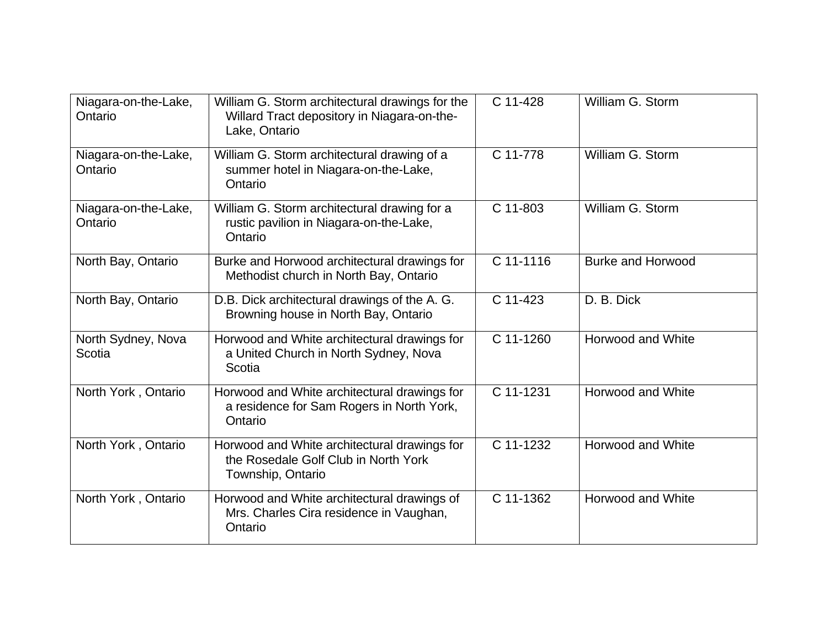| Niagara-on-the-Lake,<br>Ontario | William G. Storm architectural drawings for the<br>Willard Tract depository in Niagara-on-the-<br>Lake, Ontario | C 11-428  | William G. Storm         |
|---------------------------------|-----------------------------------------------------------------------------------------------------------------|-----------|--------------------------|
| Niagara-on-the-Lake,<br>Ontario | William G. Storm architectural drawing of a<br>summer hotel in Niagara-on-the-Lake,<br>Ontario                  | C 11-778  | William G. Storm         |
| Niagara-on-the-Lake,<br>Ontario | William G. Storm architectural drawing for a<br>rustic pavilion in Niagara-on-the-Lake,<br>Ontario              | C 11-803  | William G. Storm         |
| North Bay, Ontario              | Burke and Horwood architectural drawings for<br>Methodist church in North Bay, Ontario                          | C 11-1116 | <b>Burke and Horwood</b> |
| North Bay, Ontario              | D.B. Dick architectural drawings of the A. G.<br>Browning house in North Bay, Ontario                           | C 11-423  | D. B. Dick               |
| North Sydney, Nova<br>Scotia    | Horwood and White architectural drawings for<br>a United Church in North Sydney, Nova<br>Scotia                 | C 11-1260 | Horwood and White        |
| North York, Ontario             | Horwood and White architectural drawings for<br>a residence for Sam Rogers in North York,<br>Ontario            | C 11-1231 | Horwood and White        |
| North York, Ontario             | Horwood and White architectural drawings for<br>the Rosedale Golf Club in North York<br>Township, Ontario       | C 11-1232 | Horwood and White        |
| North York, Ontario             | Horwood and White architectural drawings of<br>Mrs. Charles Cira residence in Vaughan,<br>Ontario               | C 11-1362 | Horwood and White        |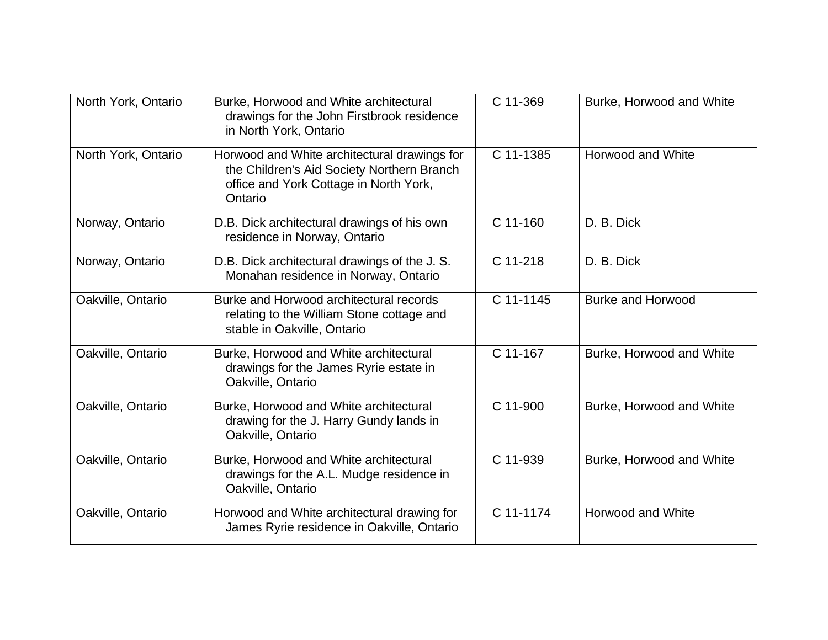| North York, Ontario | Burke, Horwood and White architectural<br>drawings for the John Firstbrook residence<br>in North York, Ontario                                  | C 11-369    | Burke, Horwood and White |
|---------------------|-------------------------------------------------------------------------------------------------------------------------------------------------|-------------|--------------------------|
| North York, Ontario | Horwood and White architectural drawings for<br>the Children's Aid Society Northern Branch<br>office and York Cottage in North York,<br>Ontario | C 11-1385   | <b>Horwood and White</b> |
| Norway, Ontario     | D.B. Dick architectural drawings of his own<br>residence in Norway, Ontario                                                                     | C 11-160    | D. B. Dick               |
| Norway, Ontario     | D.B. Dick architectural drawings of the J.S.<br>Monahan residence in Norway, Ontario                                                            | C 11-218    | D. B. Dick               |
| Oakville, Ontario   | Burke and Horwood architectural records<br>relating to the William Stone cottage and<br>stable in Oakville, Ontario                             | C 11-1145   | <b>Burke and Horwood</b> |
| Oakville, Ontario   | Burke, Horwood and White architectural<br>drawings for the James Ryrie estate in<br>Oakville, Ontario                                           | C 11-167    | Burke, Horwood and White |
| Oakville, Ontario   | Burke, Horwood and White architectural<br>drawing for the J. Harry Gundy lands in<br>Oakville, Ontario                                          | C 11-900    | Burke, Horwood and White |
| Oakville, Ontario   | Burke, Horwood and White architectural<br>drawings for the A.L. Mudge residence in<br>Oakville, Ontario                                         | C 11-939    | Burke, Horwood and White |
| Oakville, Ontario   | Horwood and White architectural drawing for<br>James Ryrie residence in Oakville, Ontario                                                       | $C$ 11-1174 | <b>Horwood and White</b> |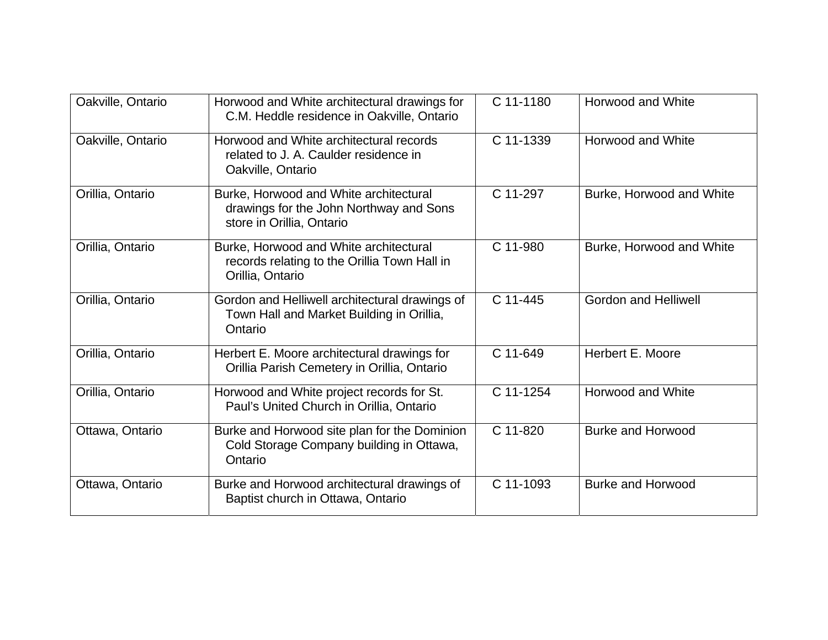| Oakville, Ontario | Horwood and White architectural drawings for<br>C.M. Heddle residence in Oakville, Ontario                     | C 11-1180 | Horwood and White           |
|-------------------|----------------------------------------------------------------------------------------------------------------|-----------|-----------------------------|
| Oakville, Ontario | Horwood and White architectural records<br>related to J. A. Caulder residence in<br>Oakville, Ontario          | C 11-1339 | Horwood and White           |
| Orillia, Ontario  | Burke, Horwood and White architectural<br>drawings for the John Northway and Sons<br>store in Orillia, Ontario | C 11-297  | Burke, Horwood and White    |
| Orillia, Ontario  | Burke, Horwood and White architectural<br>records relating to the Orillia Town Hall in<br>Orillia, Ontario     | C 11-980  | Burke, Horwood and White    |
| Orillia, Ontario  | Gordon and Helliwell architectural drawings of<br>Town Hall and Market Building in Orillia,<br>Ontario         | C 11-445  | <b>Gordon and Helliwell</b> |
| Orillia, Ontario  | Herbert E. Moore architectural drawings for<br>Orillia Parish Cemetery in Orillia, Ontario                     | C 11-649  | Herbert E. Moore            |
| Orillia, Ontario  | Horwood and White project records for St.<br>Paul's United Church in Orillia, Ontario                          | C 11-1254 | Horwood and White           |
| Ottawa, Ontario   | Burke and Horwood site plan for the Dominion<br>Cold Storage Company building in Ottawa,<br>Ontario            | C 11-820  | <b>Burke and Horwood</b>    |
| Ottawa, Ontario   | Burke and Horwood architectural drawings of<br>Baptist church in Ottawa, Ontario                               | C 11-1093 | <b>Burke and Horwood</b>    |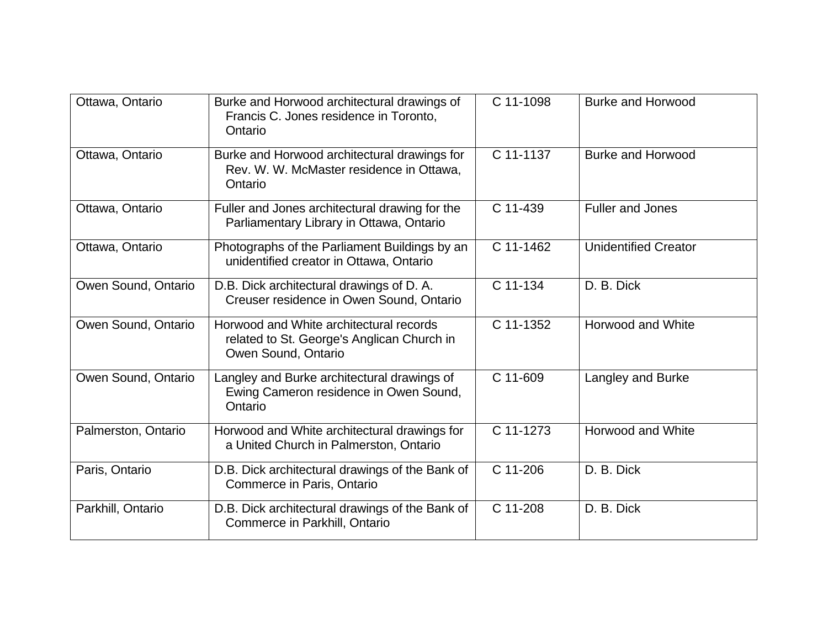| Ottawa, Ontario     | Burke and Horwood architectural drawings of<br>Francis C. Jones residence in Toronto,<br>Ontario             | C 11-1098 | <b>Burke and Horwood</b>    |
|---------------------|--------------------------------------------------------------------------------------------------------------|-----------|-----------------------------|
| Ottawa, Ontario     | Burke and Horwood architectural drawings for<br>Rev. W. W. McMaster residence in Ottawa,<br>Ontario          | C 11-1137 | <b>Burke and Horwood</b>    |
| Ottawa, Ontario     | Fuller and Jones architectural drawing for the<br>Parliamentary Library in Ottawa, Ontario                   | C 11-439  | <b>Fuller and Jones</b>     |
| Ottawa, Ontario     | Photographs of the Parliament Buildings by an<br>unidentified creator in Ottawa, Ontario                     | C 11-1462 | <b>Unidentified Creator</b> |
| Owen Sound, Ontario | D.B. Dick architectural drawings of D.A.<br>Creuser residence in Owen Sound, Ontario                         | C 11-134  | D. B. Dick                  |
| Owen Sound, Ontario | Horwood and White architectural records<br>related to St. George's Anglican Church in<br>Owen Sound, Ontario | C 11-1352 | Horwood and White           |
| Owen Sound, Ontario | Langley and Burke architectural drawings of<br>Ewing Cameron residence in Owen Sound,<br>Ontario             | C 11-609  | Langley and Burke           |
| Palmerston, Ontario | Horwood and White architectural drawings for<br>a United Church in Palmerston, Ontario                       | C 11-1273 | Horwood and White           |
| Paris, Ontario      | D.B. Dick architectural drawings of the Bank of<br>Commerce in Paris, Ontario                                | C 11-206  | D. B. Dick                  |
| Parkhill, Ontario   | D.B. Dick architectural drawings of the Bank of<br>Commerce in Parkhill, Ontario                             | C 11-208  | D. B. Dick                  |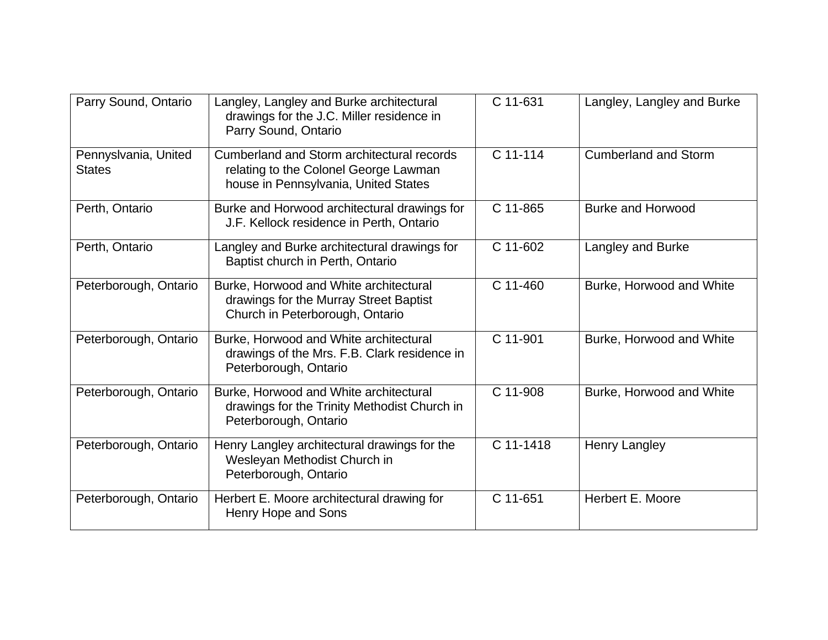| Parry Sound, Ontario                  | Langley, Langley and Burke architectural<br>drawings for the J.C. Miller residence in<br>Parry Sound, Ontario               | C 11-631  | Langley, Langley and Burke  |
|---------------------------------------|-----------------------------------------------------------------------------------------------------------------------------|-----------|-----------------------------|
| Pennyslvania, United<br><b>States</b> | Cumberland and Storm architectural records<br>relating to the Colonel George Lawman<br>house in Pennsylvania, United States | C 11-114  | <b>Cumberland and Storm</b> |
| Perth, Ontario                        | Burke and Horwood architectural drawings for<br>J.F. Kellock residence in Perth, Ontario                                    | C 11-865  | <b>Burke and Horwood</b>    |
| Perth, Ontario                        | Langley and Burke architectural drawings for<br>Baptist church in Perth, Ontario                                            | C 11-602  | Langley and Burke           |
| Peterborough, Ontario                 | Burke, Horwood and White architectural<br>drawings for the Murray Street Baptist<br>Church in Peterborough, Ontario         | C 11-460  | Burke, Horwood and White    |
| Peterborough, Ontario                 | Burke, Horwood and White architectural<br>drawings of the Mrs. F.B. Clark residence in<br>Peterborough, Ontario             | C 11-901  | Burke, Horwood and White    |
| Peterborough, Ontario                 | Burke, Horwood and White architectural<br>drawings for the Trinity Methodist Church in<br>Peterborough, Ontario             | C 11-908  | Burke, Horwood and White    |
| Peterborough, Ontario                 | Henry Langley architectural drawings for the<br>Wesleyan Methodist Church in<br>Peterborough, Ontario                       | C 11-1418 | Henry Langley               |
| Peterborough, Ontario                 | Herbert E. Moore architectural drawing for<br>Henry Hope and Sons                                                           | C 11-651  | Herbert E. Moore            |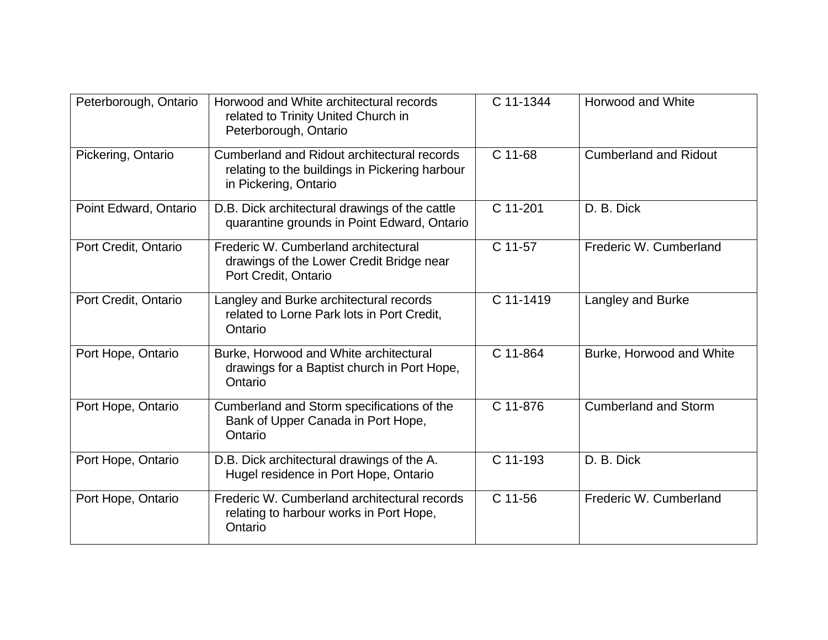| Peterborough, Ontario | Horwood and White architectural records<br>related to Trinity United Church in<br>Peterborough, Ontario                | C 11-1344 | <b>Horwood and White</b>     |
|-----------------------|------------------------------------------------------------------------------------------------------------------------|-----------|------------------------------|
| Pickering, Ontario    | Cumberland and Ridout architectural records<br>relating to the buildings in Pickering harbour<br>in Pickering, Ontario | C 11-68   | <b>Cumberland and Ridout</b> |
| Point Edward, Ontario | D.B. Dick architectural drawings of the cattle<br>quarantine grounds in Point Edward, Ontario                          | C 11-201  | D. B. Dick                   |
| Port Credit, Ontario  | Frederic W. Cumberland architectural<br>drawings of the Lower Credit Bridge near<br>Port Credit, Ontario               | C 11-57   | Frederic W. Cumberland       |
| Port Credit, Ontario  | Langley and Burke architectural records<br>related to Lorne Park lots in Port Credit,<br>Ontario                       | C 11-1419 | Langley and Burke            |
| Port Hope, Ontario    | Burke, Horwood and White architectural<br>drawings for a Baptist church in Port Hope,<br>Ontario                       | C 11-864  | Burke, Horwood and White     |
| Port Hope, Ontario    | Cumberland and Storm specifications of the<br>Bank of Upper Canada in Port Hope,<br>Ontario                            | C 11-876  | <b>Cumberland and Storm</b>  |
| Port Hope, Ontario    | D.B. Dick architectural drawings of the A.<br>Hugel residence in Port Hope, Ontario                                    | C 11-193  | D. B. Dick                   |
| Port Hope, Ontario    | Frederic W. Cumberland architectural records<br>relating to harbour works in Port Hope,<br>Ontario                     | C 11-56   | Frederic W. Cumberland       |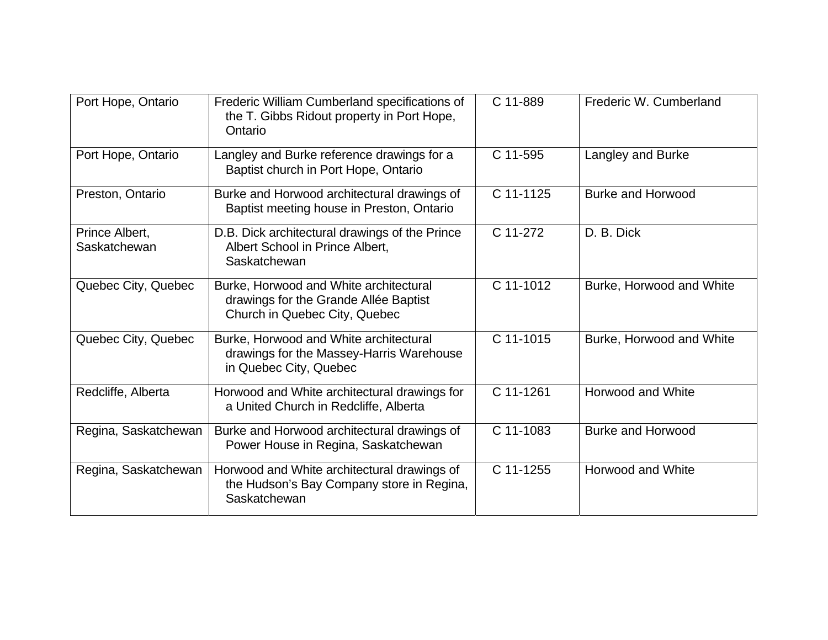| Port Hope, Ontario             | Frederic William Cumberland specifications of<br>the T. Gibbs Ridout property in Port Hope,<br>Ontario           | C 11-889  | Frederic W. Cumberland   |
|--------------------------------|------------------------------------------------------------------------------------------------------------------|-----------|--------------------------|
| Port Hope, Ontario             | Langley and Burke reference drawings for a<br>Baptist church in Port Hope, Ontario                               | C 11-595  | Langley and Burke        |
| Preston, Ontario               | Burke and Horwood architectural drawings of<br>Baptist meeting house in Preston, Ontario                         | C 11-1125 | <b>Burke and Horwood</b> |
| Prince Albert,<br>Saskatchewan | D.B. Dick architectural drawings of the Prince<br>Albert School in Prince Albert,<br>Saskatchewan                | C 11-272  | D. B. Dick               |
| Quebec City, Quebec            | Burke, Horwood and White architectural<br>drawings for the Grande Allée Baptist<br>Church in Quebec City, Quebec | C 11-1012 | Burke, Horwood and White |
| Quebec City, Quebec            | Burke, Horwood and White architectural<br>drawings for the Massey-Harris Warehouse<br>in Quebec City, Quebec     | C 11-1015 | Burke, Horwood and White |
| Redcliffe, Alberta             | Horwood and White architectural drawings for<br>a United Church in Redcliffe, Alberta                            | C 11-1261 | <b>Horwood and White</b> |
| Regina, Saskatchewan           | Burke and Horwood architectural drawings of<br>Power House in Regina, Saskatchewan                               | C 11-1083 | <b>Burke and Horwood</b> |
| Regina, Saskatchewan           | Horwood and White architectural drawings of<br>the Hudson's Bay Company store in Regina,<br>Saskatchewan         | C 11-1255 | Horwood and White        |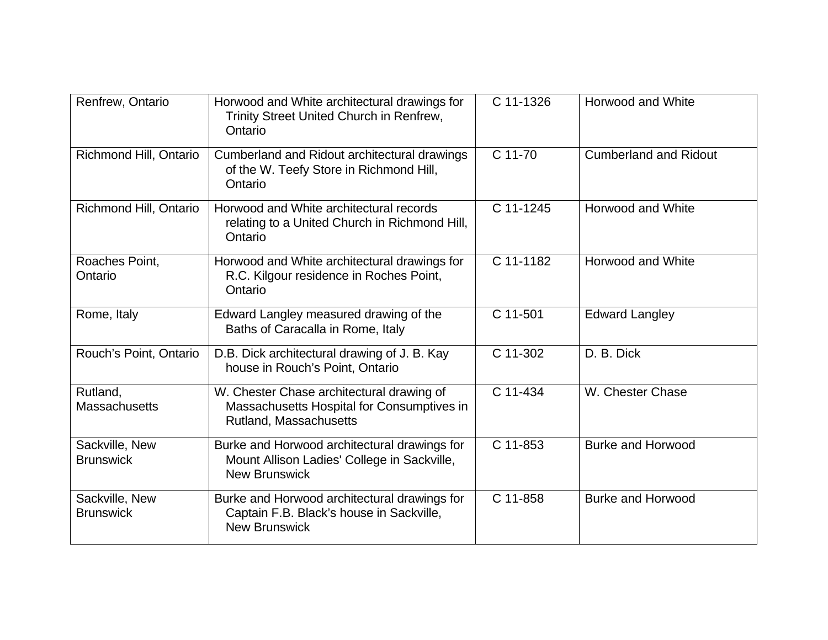| Renfrew, Ontario                   | Horwood and White architectural drawings for<br>Trinity Street United Church in Renfrew,<br>Ontario                 | C 11-1326 | Horwood and White            |
|------------------------------------|---------------------------------------------------------------------------------------------------------------------|-----------|------------------------------|
| Richmond Hill, Ontario             | Cumberland and Ridout architectural drawings<br>of the W. Teefy Store in Richmond Hill,<br>Ontario                  | C 11-70   | <b>Cumberland and Ridout</b> |
| Richmond Hill, Ontario             | Horwood and White architectural records<br>relating to a United Church in Richmond Hill,<br>Ontario                 | C 11-1245 | Horwood and White            |
| Roaches Point,<br>Ontario          | Horwood and White architectural drawings for<br>R.C. Kilgour residence in Roches Point,<br>Ontario                  | C 11-1182 | <b>Horwood and White</b>     |
| Rome, Italy                        | Edward Langley measured drawing of the<br>Baths of Caracalla in Rome, Italy                                         | C 11-501  | <b>Edward Langley</b>        |
| Rouch's Point, Ontario             | D.B. Dick architectural drawing of J. B. Kay<br>house in Rouch's Point, Ontario                                     | C 11-302  | D. B. Dick                   |
| Rutland,<br><b>Massachusetts</b>   | W. Chester Chase architectural drawing of<br>Massachusetts Hospital for Consumptives in<br>Rutland, Massachusetts   | C 11-434  | W. Chester Chase             |
| Sackville, New<br><b>Brunswick</b> | Burke and Horwood architectural drawings for<br>Mount Allison Ladies' College in Sackville,<br><b>New Brunswick</b> | C 11-853  | <b>Burke and Horwood</b>     |
| Sackville, New<br><b>Brunswick</b> | Burke and Horwood architectural drawings for<br>Captain F.B. Black's house in Sackville,<br><b>New Brunswick</b>    | C 11-858  | <b>Burke and Horwood</b>     |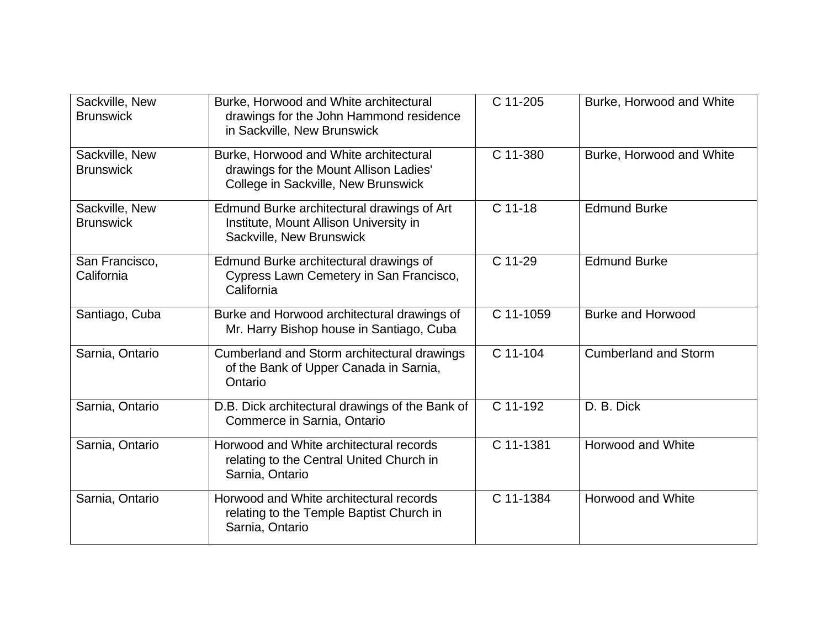| Sackville, New<br><b>Brunswick</b> | Burke, Horwood and White architectural<br>drawings for the John Hammond residence<br>in Sackville, New Brunswick        | C 11-205  | Burke, Horwood and White    |
|------------------------------------|-------------------------------------------------------------------------------------------------------------------------|-----------|-----------------------------|
| Sackville, New<br><b>Brunswick</b> | Burke, Horwood and White architectural<br>drawings for the Mount Allison Ladies'<br>College in Sackville, New Brunswick | C 11-380  | Burke, Horwood and White    |
| Sackville, New<br><b>Brunswick</b> | Edmund Burke architectural drawings of Art<br>Institute, Mount Allison University in<br>Sackville, New Brunswick        | $C$ 11-18 | <b>Edmund Burke</b>         |
| San Francisco,<br>California       | Edmund Burke architectural drawings of<br>Cypress Lawn Cemetery in San Francisco,<br>California                         | C 11-29   | <b>Edmund Burke</b>         |
| Santiago, Cuba                     | Burke and Horwood architectural drawings of<br>Mr. Harry Bishop house in Santiago, Cuba                                 | C 11-1059 | <b>Burke and Horwood</b>    |
| Sarnia, Ontario                    | Cumberland and Storm architectural drawings<br>of the Bank of Upper Canada in Sarnia,<br>Ontario                        | C 11-104  | <b>Cumberland and Storm</b> |
| Sarnia, Ontario                    | D.B. Dick architectural drawings of the Bank of<br>Commerce in Sarnia, Ontario                                          | C 11-192  | D. B. Dick                  |
| Sarnia, Ontario                    | Horwood and White architectural records<br>relating to the Central United Church in<br>Sarnia, Ontario                  | C 11-1381 | <b>Horwood and White</b>    |
| Sarnia, Ontario                    | Horwood and White architectural records<br>relating to the Temple Baptist Church in<br>Sarnia, Ontario                  | C 11-1384 | <b>Horwood and White</b>    |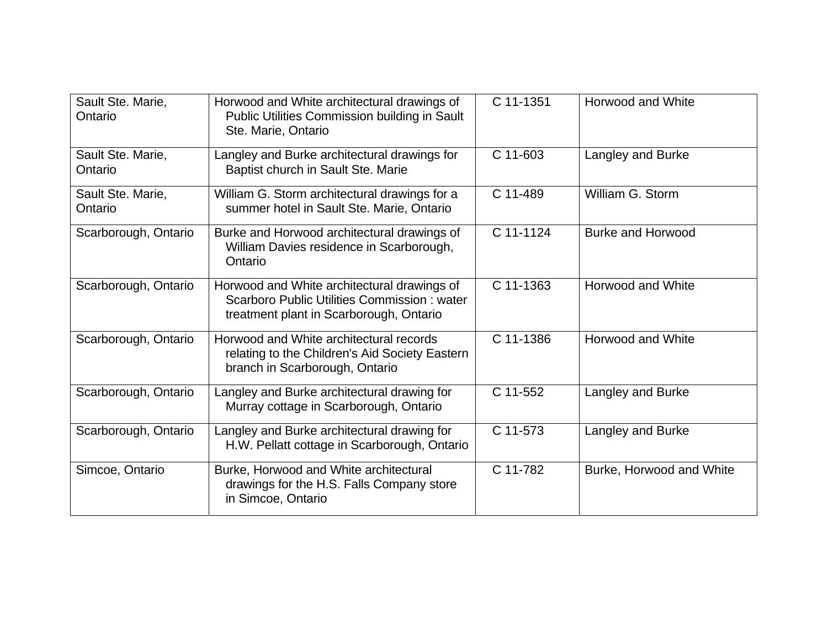| Sault Ste. Marie,<br>Ontario | Horwood and White architectural drawings of<br>Public Utilities Commission building in Sault<br>Ste. Marie, Ontario                   | C 11-1351 | <b>Horwood and White</b> |
|------------------------------|---------------------------------------------------------------------------------------------------------------------------------------|-----------|--------------------------|
| Sault Ste. Marie,<br>Ontario | Langley and Burke architectural drawings for<br>Baptist church in Sault Ste. Marie                                                    | C 11-603  | Langley and Burke        |
| Sault Ste. Marie,<br>Ontario | William G. Storm architectural drawings for a<br>summer hotel in Sault Ste. Marie, Ontario                                            | C 11-489  | William G. Storm         |
| Scarborough, Ontario         | Burke and Horwood architectural drawings of<br>William Davies residence in Scarborough,<br>Ontario                                    | C 11-1124 | <b>Burke and Horwood</b> |
| Scarborough, Ontario         | Horwood and White architectural drawings of<br>Scarboro Public Utilities Commission: water<br>treatment plant in Scarborough, Ontario | C 11-1363 | Horwood and White        |
| Scarborough, Ontario         | Horwood and White architectural records<br>relating to the Children's Aid Society Eastern<br>branch in Scarborough, Ontario           | C 11-1386 | Horwood and White        |
| Scarborough, Ontario         | Langley and Burke architectural drawing for<br>Murray cottage in Scarborough, Ontario                                                 | C 11-552  | Langley and Burke        |
| Scarborough, Ontario         | Langley and Burke architectural drawing for<br>H.W. Pellatt cottage in Scarborough, Ontario                                           | C 11-573  | Langley and Burke        |
| Simcoe, Ontario              | Burke, Horwood and White architectural<br>drawings for the H.S. Falls Company store<br>in Simcoe, Ontario                             | C 11-782  | Burke, Horwood and White |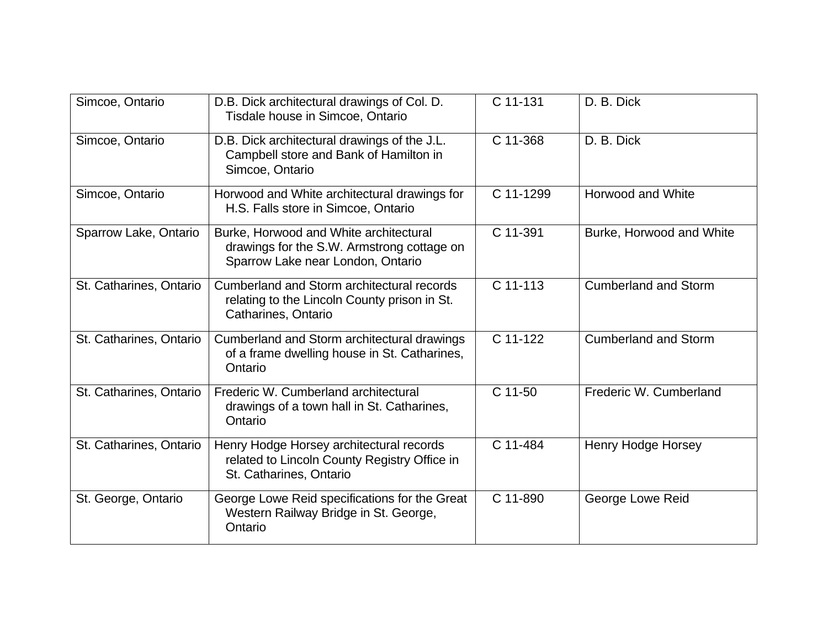| Simcoe, Ontario         | D.B. Dick architectural drawings of Col. D.<br>Tisdale house in Simcoe, Ontario                                           | C 11-131  | D. B. Dick                  |
|-------------------------|---------------------------------------------------------------------------------------------------------------------------|-----------|-----------------------------|
|                         |                                                                                                                           |           |                             |
| Simcoe, Ontario         | D.B. Dick architectural drawings of the J.L.<br>Campbell store and Bank of Hamilton in<br>Simcoe, Ontario                 | C 11-368  | D. B. Dick                  |
| Simcoe, Ontario         | Horwood and White architectural drawings for<br>H.S. Falls store in Simcoe, Ontario                                       | C 11-1299 | Horwood and White           |
| Sparrow Lake, Ontario   | Burke, Horwood and White architectural<br>drawings for the S.W. Armstrong cottage on<br>Sparrow Lake near London, Ontario | C 11-391  | Burke, Horwood and White    |
| St. Catharines, Ontario | Cumberland and Storm architectural records<br>relating to the Lincoln County prison in St.<br>Catharines, Ontario         | C 11-113  | <b>Cumberland and Storm</b> |
| St. Catharines, Ontario | Cumberland and Storm architectural drawings<br>of a frame dwelling house in St. Catharines,<br>Ontario                    | C 11-122  | <b>Cumberland and Storm</b> |
| St. Catharines, Ontario | Frederic W. Cumberland architectural<br>drawings of a town hall in St. Catharines,<br>Ontario                             | C 11-50   | Frederic W. Cumberland      |
| St. Catharines, Ontario | Henry Hodge Horsey architectural records<br>related to Lincoln County Registry Office in<br>St. Catharines, Ontario       | C 11-484  | <b>Henry Hodge Horsey</b>   |
| St. George, Ontario     | George Lowe Reid specifications for the Great<br>Western Railway Bridge in St. George,<br>Ontario                         | C 11-890  | George Lowe Reid            |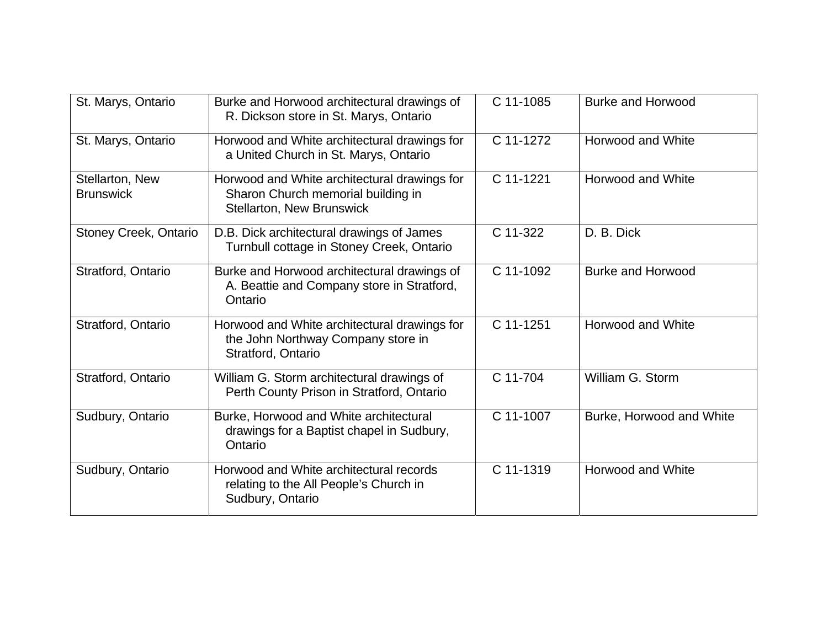| St. Marys, Ontario                  | Burke and Horwood architectural drawings of<br>R. Dickson store in St. Marys, Ontario                                  | C 11-1085 | <b>Burke and Horwood</b> |
|-------------------------------------|------------------------------------------------------------------------------------------------------------------------|-----------|--------------------------|
| St. Marys, Ontario                  | Horwood and White architectural drawings for<br>a United Church in St. Marys, Ontario                                  | C 11-1272 | Horwood and White        |
| Stellarton, New<br><b>Brunswick</b> | Horwood and White architectural drawings for<br>Sharon Church memorial building in<br><b>Stellarton, New Brunswick</b> | C 11-1221 | Horwood and White        |
| Stoney Creek, Ontario               | D.B. Dick architectural drawings of James<br>Turnbull cottage in Stoney Creek, Ontario                                 | C 11-322  | D. B. Dick               |
| Stratford, Ontario                  | Burke and Horwood architectural drawings of<br>A. Beattie and Company store in Stratford,<br>Ontario                   | C 11-1092 | <b>Burke and Horwood</b> |
| Stratford, Ontario                  | Horwood and White architectural drawings for<br>the John Northway Company store in<br>Stratford, Ontario               | C 11-1251 | Horwood and White        |
| Stratford, Ontario                  | William G. Storm architectural drawings of<br>Perth County Prison in Stratford, Ontario                                | C 11-704  | William G. Storm         |
| Sudbury, Ontario                    | Burke, Horwood and White architectural<br>drawings for a Baptist chapel in Sudbury,<br>Ontario                         | C 11-1007 | Burke, Horwood and White |
| Sudbury, Ontario                    | Horwood and White architectural records<br>relating to the All People's Church in<br>Sudbury, Ontario                  | C 11-1319 | <b>Horwood and White</b> |